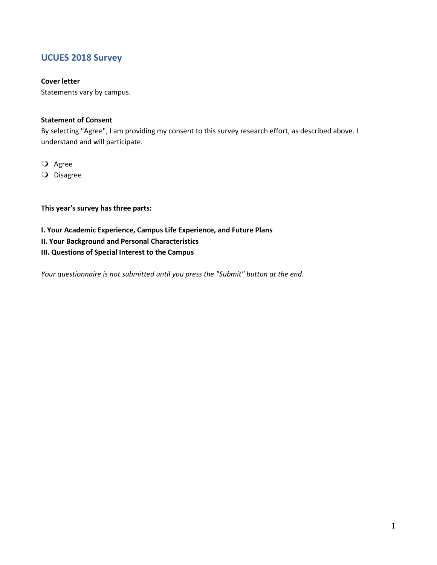# **UCUES 2018 Survey**

#### **Cover letter**

Statements vary by campus.

#### **Statement of Consent**

By selecting "Agree", I am providing my consent to this survey research effort, as described above. I understand and will participate.

O Agree

O Disagree

### **This year's survey has three parts:**

- **I. Your Academic Experience, Campus Life Experience, and Future Plans**
- **II. Your Background and Personal Characteristics**
- **III. Questions of Special Interest to the Campus**

*Your questionnaire is not submitted until you press the "Submit" button at the end.*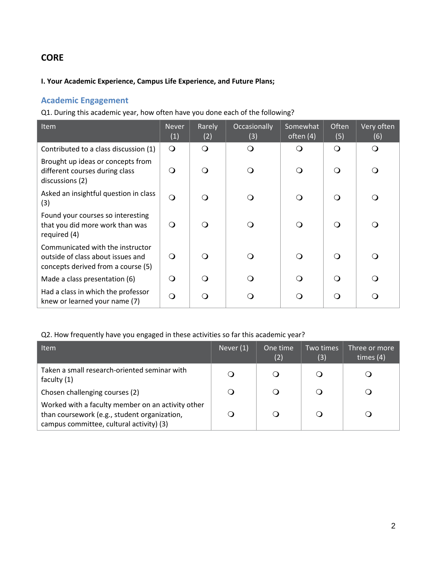# **CORE**

### **I. Your Academic Experience, Campus Life Experience, and Future Plans;**

# **Academic Engagement**

Q1. During this academic year, how often have you done each of the following?

| Item                                                                                                        | <b>Never</b><br>(1) | Rarely<br>(2) | Occasionally<br>(3) | Somewhat<br>often (4) | Often<br>(5) | Very often<br>(6) |
|-------------------------------------------------------------------------------------------------------------|---------------------|---------------|---------------------|-----------------------|--------------|-------------------|
| Contributed to a class discussion (1)                                                                       | $\bigcirc$          | $\Omega$      | $\Omega$            | $\Omega$              | $\Omega$     | ∩                 |
| Brought up ideas or concepts from<br>different courses during class<br>discussions (2)                      | $\Omega$            | $\Omega$      | $\Omega$            | $\Omega$              | ∩            | ∩                 |
| Asked an insightful question in class<br>(3)                                                                | $\Omega$            | $\Omega$      |                     | Q                     | ∩            |                   |
| Found your courses so interesting<br>that you did more work than was<br>required (4)                        | ∩                   | $\Omega$      | $\Omega$            | $\Omega$              | ∩            | ∩                 |
| Communicated with the instructor<br>outside of class about issues and<br>concepts derived from a course (5) | Q                   | $\bigcirc$    |                     | $\Omega$              | ∩            |                   |
| Made a class presentation (6)                                                                               | Q                   | $\Omega$      |                     | Q                     | ∩            |                   |
| Had a class in which the professor<br>knew or learned your name (7)                                         | ∩                   | ∩             |                     | Q                     | ∩            | ∩                 |

## Q2. How frequently have you engaged in these activities so far this academic year?

| <b>Item</b>                                                                                                                                   | Never $(1)$ | One time<br>(2) | Two times<br>(3) | Three or more<br>times $(4)$ |
|-----------------------------------------------------------------------------------------------------------------------------------------------|-------------|-----------------|------------------|------------------------------|
| Taken a small research-oriented seminar with<br>faculty $(1)$                                                                                 | Ő           |                 | Q                |                              |
| Chosen challenging courses (2)                                                                                                                | $\circ$     |                 | O                |                              |
| Worked with a faculty member on an activity other<br>than coursework (e.g., student organization,<br>campus committee, cultural activity) (3) |             |                 |                  |                              |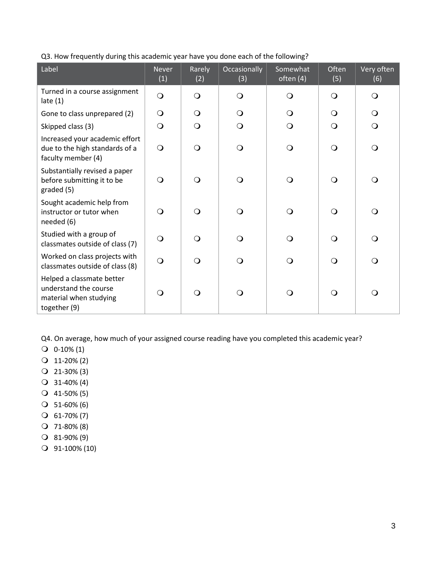| Label                                                                                        | <b>Never</b><br>(1) | Rarely<br>(2) | Occasionally<br>(3) | Somewhat<br>often (4) | Often<br>(5) | Very often<br>(6) |
|----------------------------------------------------------------------------------------------|---------------------|---------------|---------------------|-----------------------|--------------|-------------------|
| Turned in a course assignment<br>late $(1)$                                                  | $\bigcirc$          | $\Omega$      | Q                   | $\bigcirc$            | $\Omega$     | $\circ$           |
| Gone to class unprepared (2)                                                                 | $\Omega$            | $\circ$       | Q                   | $\Omega$              | $\Omega$     | $\Omega$          |
| Skipped class (3)                                                                            | $\bigcirc$          | $\Omega$      | Q                   | $\mathbf{O}$          | $\Omega$     | $\bigcirc$        |
| Increased your academic effort<br>due to the high standards of a<br>faculty member (4)       | $\Omega$            | $\Omega$      | ∩                   | $\mathbf{O}$          | $\Omega$     | $\bigcirc$        |
| Substantially revised a paper<br>before submitting it to be<br>graded (5)                    | $\Omega$            | $\Omega$      |                     | $\mathbf{O}$          | $\Omega$     | $\Omega$          |
| Sought academic help from<br>instructor or tutor when<br>needed (6)                          | $\Omega$            | $\Omega$      | $\Omega$            | $\Omega$              | $\Omega$     | $\Omega$          |
| Studied with a group of<br>classmates outside of class (7)                                   | $\Omega$            | $\Omega$      | ∩                   | $\bigcirc$            | $\Omega$     | $\bigcirc$        |
| Worked on class projects with<br>classmates outside of class (8)                             | $\Omega$            | $\Omega$      | ∩                   | $\bigcirc$            | $\Omega$     | $\Omega$          |
| Helped a classmate better<br>understand the course<br>material when studying<br>together (9) | $\Omega$            | $\Omega$      | $\lambda$           | $\circ$               | $\Omega$     | $\Omega$          |

Q3. How frequently during this academic year have you done each of the following?

Q4. On average, how much of your assigned course reading have you completed this academic year?

- $Q_0$  0-10% (1)
- 11-20% (2)
- $Q$  21-30% (3)
- 31-40% (4)
- $Q$  41-50% (5)
- $O$  51-60% (6)
- $O$  61-70% (7)
- $Q$  71-80% (8)
- 81-90% (9)
- 91-100% (10)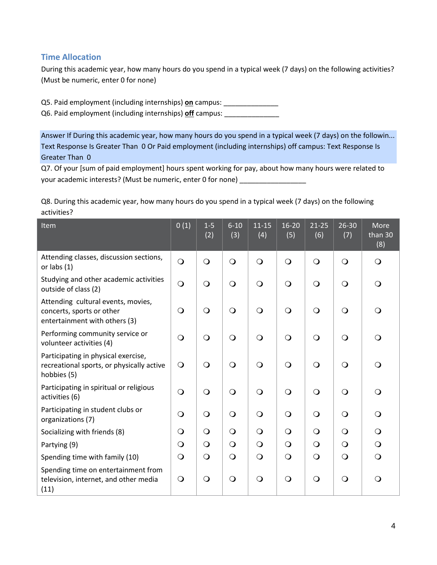# **Time Allocation**

During this academic year, how many hours do you spend in a typical week (7 days) on the following activities? (Must be numeric, enter 0 for none)

Q5. Paid employment (including internships) **on** campus: \_\_\_\_\_\_\_\_\_\_\_\_\_\_

Q6. Paid employment (including internships) **off** campus: \_\_\_\_\_\_\_\_\_\_\_\_\_\_

Answer If During this academic year, how many hours do you spend in a typical week (7 days) on the followin... Text Response Is Greater Than 0 Or Paid employment (including internships) off campus: Text Response Is Greater Than 0

Q7. Of your [sum of paid employment] hours spent working for pay, about how many hours were related to your academic interests? (Must be numeric, enter 0 for none) \_\_\_\_\_\_\_\_\_\_\_\_\_\_\_\_\_\_\_

Q8. During this academic year, how many hours do you spend in a typical week (7 days) on the following activities?

| Item                                                                                             | 0(1)           | $1-5$<br>(2) | $6 - 10$<br>(3) | $11 - 15$<br>(4) | $16 - 20$<br>(5) | $21 - 25$<br>(6) | 26-30<br>(7) | More<br>than 30<br>(8) |
|--------------------------------------------------------------------------------------------------|----------------|--------------|-----------------|------------------|------------------|------------------|--------------|------------------------|
| Attending classes, discussion sections,<br>or labs $(1)$                                         | $\bigcirc$     | $\bigcirc$   | $\bigcirc$      | $\bigcirc$       | $\bigcirc$       | $\bigcirc$       | $\bigcirc$   | $\mathsf{O}$           |
| Studying and other academic activities<br>outside of class (2)                                   | $\overline{O}$ | $\bigcirc$   | $\overline{O}$  | $\bigcirc$       | $\bigcirc$       | $\bigcirc$       | $\bigcirc$   | $\circ$                |
| Attending cultural events, movies,<br>concerts, sports or other<br>entertainment with others (3) | $\bigcirc$     | $\bigcirc$   | $\bigcirc$      | $\bigcirc$       | $\bigcirc$       | $\bigcirc$       | $\bigcirc$   | $\bigcirc$             |
| Performing community service or<br>volunteer activities (4)                                      | $\Omega$       | $\bigcirc$   | $\bigcirc$      | $\bigcirc$       | $\bigcirc$       | $\bigcirc$       | $\bigcirc$   | $\bigcirc$             |
| Participating in physical exercise,<br>recreational sports, or physically active<br>hobbies (5)  | $\bigcirc$     | $\bigcirc$   | $\bigcirc$      | $\bigcirc$       | $\bigcirc$       | $\bigcirc$       | $\bigcirc$   | $\circ$                |
| Participating in spiritual or religious<br>activities (6)                                        | $\bigcirc$     | $\bigcirc$   | $\bigcirc$      | $\circ$          | $\bigcirc$       | $\bigcirc$       | $\bigcirc$   | $\bigcirc$             |
| Participating in student clubs or<br>organizations (7)                                           | $\Omega$       | $\bigcirc$   | $\mathsf{O}$    | $\bigcirc$       | $\bigcirc$       | $\bigcirc$       | $\bigcirc$   | $\bigcirc$             |
| Socializing with friends (8)                                                                     | $\Omega$       | $\bigcirc$   | $\mathsf{O}$    | $\bigcirc$       | $\bigcirc$       | $\bigcirc$       | $\bigcirc$   | $\circ$                |
| Partying (9)                                                                                     | $\bigcirc$     | $\bigcirc$   | $\bigcirc$      | $\bigcirc$       | $\bigcirc$       | $\bigcirc$       | $\bigcirc$   | $\mathsf{O}$           |
| Spending time with family (10)                                                                   | $\bigcirc$     | $\bigcirc$   | $\mathsf{O}$    | $\bigcirc$       | $\bigcirc$       | $\bigcirc$       | $\mathbf{O}$ | $\Omega$               |
| Spending time on entertainment from<br>television, internet, and other media<br>(11)             | $\bigcirc$     | $\bigcirc$   | $\bigcirc$      | $\bigcirc$       | $\bigcirc$       | $\bigcirc$       | $\bigcirc$   | $\bigcirc$             |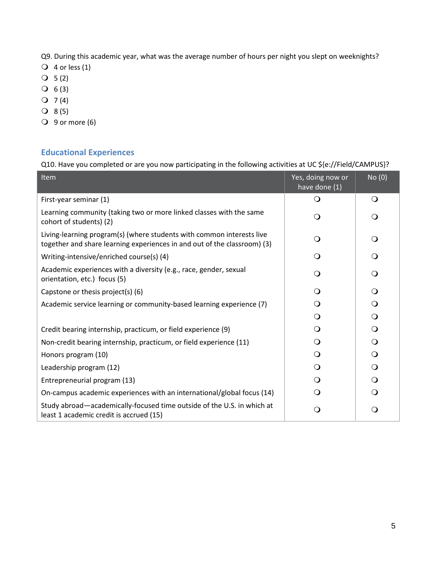Q9. During this academic year, what was the average number of hours per night you slept on weeknights?

- $\overline{Q}$  4 or less (1)
- $O 5 (2)$
- $O 6 (3)$
- $Q \quad 7(4)$
- $Q 8(5)$
- $\bigcirc$  9 or more (6)

# **Educational Experiences**

Q10. Have you completed or are you now participating in the following activities at UC \${e://Field/CAMPUS}?

| Item                                                                                                                                              | Yes, doing now or<br>have done (1) | No (0)       |
|---------------------------------------------------------------------------------------------------------------------------------------------------|------------------------------------|--------------|
| First-year seminar (1)                                                                                                                            | Q                                  | $\Omega$     |
| Learning community (taking two or more linked classes with the same<br>cohort of students) (2)                                                    | ∩                                  | $\Omega$     |
| Living-learning program(s) (where students with common interests live<br>together and share learning experiences in and out of the classroom) (3) | Q                                  | $\Omega$     |
| Writing-intensive/enriched course(s) (4)                                                                                                          | ∩ )                                | ∩            |
| Academic experiences with a diversity (e.g., race, gender, sexual<br>orientation, etc.) focus (5)                                                 | ∩                                  | ∩            |
| Capstone or thesis project(s) (6)                                                                                                                 |                                    | ∩            |
| Academic service learning or community-based learning experience (7)                                                                              | ∩                                  | $\Omega$     |
|                                                                                                                                                   | ∩                                  | $\Omega$     |
| Credit bearing internship, practicum, or field experience (9)                                                                                     | ∩                                  | $\Omega$     |
| Non-credit bearing internship, practicum, or field experience (11)                                                                                |                                    | $\Omega$     |
| Honors program (10)                                                                                                                               | ∩                                  | $\Omega$     |
| Leadership program (12)                                                                                                                           | ∩                                  | $\mathsf{O}$ |
| Entrepreneurial program (13)                                                                                                                      | ∩                                  | $\Omega$     |
| On-campus academic experiences with an international/global focus (14)                                                                            |                                    |              |
| Study abroad—academically-focused time outside of the U.S. in which at<br>least 1 academic credit is accrued (15)                                 |                                    | Q            |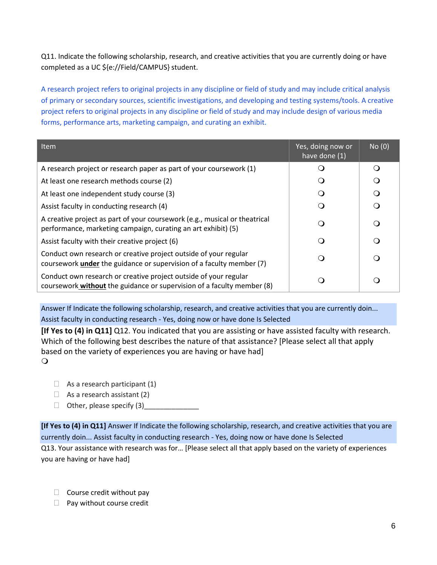Q11. Indicate the following scholarship, research, and creative activities that you are currently doing or have completed as a UC \${e://Field/CAMPUS} student.

A research project refers to original projects in any discipline or field of study and may include critical analysis of primary or secondary sources, scientific investigations, and developing and testing systems/tools. A creative project refers to original projects in any discipline or field of study and may include design of various media forms, performance arts, marketing campaign, and curating an exhibit.

| <b>Item</b>                                                                                                                                     | Yes, doing now or<br>have done (1) | No(0) |
|-------------------------------------------------------------------------------------------------------------------------------------------------|------------------------------------|-------|
| A research project or research paper as part of your coursework (1)                                                                             |                                    | ∩     |
| At least one research methods course (2)                                                                                                        |                                    | ∩     |
| At least one independent study course (3)                                                                                                       |                                    | ∩     |
| Assist faculty in conducting research (4)                                                                                                       |                                    | Ω     |
| A creative project as part of your coursework (e.g., musical or theatrical<br>performance, marketing campaign, curating an art exhibit) (5)     |                                    | Q     |
| Assist faculty with their creative project (6)                                                                                                  |                                    | ∩     |
| Conduct own research or creative project outside of your regular<br>coursework <i>under</i> the guidance or supervision of a faculty member (7) |                                    | ∩     |
| Conduct own research or creative project outside of your regular<br>coursework without the guidance or supervision of a faculty member (8)      |                                    |       |

Answer If Indicate the following scholarship, research, and creative activities that you are currently doin... Assist faculty in conducting research - Yes, doing now or have done Is Selected

**[If Yes to (4) in Q11]** Q12. You indicated that you are assisting or have assisted faculty with research. Which of the following best describes the nature of that assistance? [Please select all that apply based on the variety of experiences you are having or have had]  $\circ$ 

- $\Box$  As a research participant (1)
- $\Box$  As a research assistant (2)
- $\Box$  Other, please specify  $(3)$

**[If Yes to (4) in Q11]** Answer If Indicate the following scholarship, research, and creative activities that you are currently doin... Assist faculty in conducting research - Yes, doing now or have done Is Selected Q13. Your assistance with research was for… [Please select all that apply based on the variety of experiences you are having or have had]

- $\Box$  Course credit without pay
- $\Box$  Pay without course credit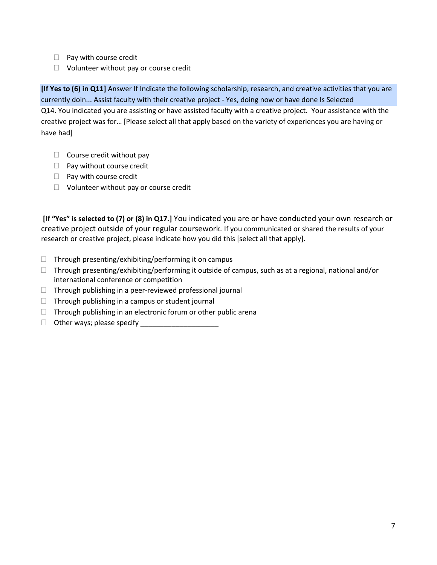- $\Box$  Pay with course credit
- $\Box$  Volunteer without pay or course credit

**[If Yes to (6) in Q11]** Answer If Indicate the following scholarship, research, and creative activities that you are currently doin... Assist faculty with their creative project - Yes, doing now or have done Is Selected Q14. You indicated you are assisting or have assisted faculty with a creative project. Your assistance with the creative project was for… [Please select all that apply based on the variety of experiences you are having or have had]

- $\Box$  Course credit without pay
- $\Box$  Pay without course credit
- $\Box$  Pay with course credit
- $\Box$  Volunteer without pay or course credit

**[If "Yes" is selected to (7) or (8) in Q17.]** You indicated you are or have conducted your own research or creative project outside of your regular coursework. If you communicated or shared the results of your research or creative project, please indicate how you did this [select all that apply].

- $\Box$  Through presenting/exhibiting/performing it on campus
- $\Box$  Through presenting/exhibiting/performing it outside of campus, such as at a regional, national and/or international conference or competition
- $\Box$  Through publishing in a peer-reviewed professional journal
- $\Box$  Through publishing in a campus or student journal
- $\Box$  Through publishing in an electronic forum or other public arena
- $\Box$  Other ways; please specify  $\Box$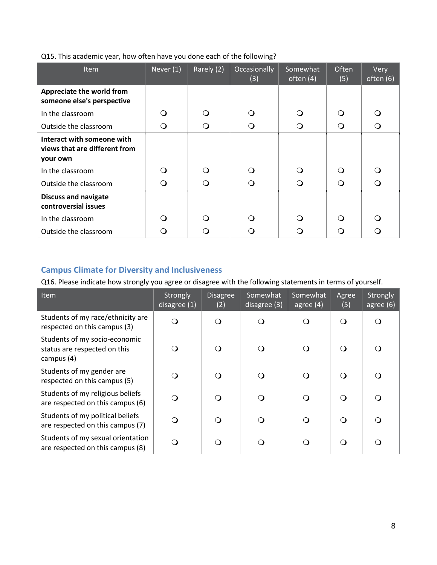|  | Q15. This academic year, how often have you done each of the following? |
|--|-------------------------------------------------------------------------|
|  |                                                                         |

| <b>Item</b>                                                                                 | Never $(1)$ | Rarely (2) | Occasionally<br>(3) | Somewhat<br>often $(4)$ | Often<br>(5) | Very<br>often (6) |
|---------------------------------------------------------------------------------------------|-------------|------------|---------------------|-------------------------|--------------|-------------------|
| Appreciate the world from<br>someone else's perspective                                     |             |            |                     |                         |              |                   |
| In the classroom                                                                            | $\lambda$   | ∩          | ∩                   | ∩                       | ∩            |                   |
| Outside the classroom                                                                       | $\circ$     | ∩          | O                   | O                       | Q            | ∩                 |
| Interact with someone with<br>views that are different from<br>your own<br>In the classroom | ∩           | ∩          | ∩                   | ∩                       | ∩            | ∩                 |
| Outside the classroom                                                                       | O           | ∩          | ∩                   | ∩                       | ∩            |                   |
| <b>Discuss and navigate</b><br>controversial issues                                         |             |            |                     |                         |              |                   |
| In the classroom                                                                            | ∩           | ∩          | 0                   | ∩                       | ∩            | ( )               |
| Outside the classroom                                                                       | ு           |            |                     |                         |              |                   |

# **Campus Climate for Diversity and Inclusiveness**

Q16. Please indicate how strongly you agree or disagree with the following statements in terms of yourself.

| <b>Item</b>                                                                 | Strongly<br>disagree (1) | <b>Disagree</b><br>(2) | Somewhat<br>disagree (3) | Somewhat<br>agree $(4)$ | Agree<br>(5) | Strongly<br>agree (6) |
|-----------------------------------------------------------------------------|--------------------------|------------------------|--------------------------|-------------------------|--------------|-----------------------|
| Students of my race/ethnicity are<br>respected on this campus (3)           | Q                        | $\Omega$               | O                        | ∩                       | ∩            | ∩                     |
| Students of my socio-economic<br>status are respected on this<br>campus (4) | ∩                        | $\Omega$               | O                        | $\Omega$                |              | ∩                     |
| Students of my gender are<br>respected on this campus (5)                   | O                        | ∩                      | O                        | Q                       | ∩            | ∩                     |
| Students of my religious beliefs<br>are respected on this campus (6)        | Q                        | ∩                      | O                        | Q                       | ∩            | ∩                     |
| Students of my political beliefs<br>are respected on this campus (7)        | Q                        |                        | O                        | Q                       | ∩            | ∩                     |
| Students of my sexual orientation<br>are respected on this campus (8)       | O                        |                        | O                        | $\Omega$                | ∩            | ∩                     |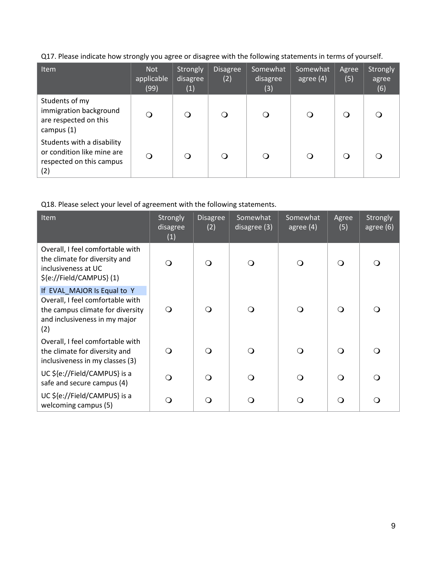Q17. Please indicate how strongly you agree or disagree with the following statements in terms of yourself.

| <b>Item</b>                                                                                 | <b>Not</b><br>applicable<br>(99) | Strongly<br>disagree<br>(1) | <b>Disagree</b><br>(2) | Somewhat<br>disagree<br>(3) | Somewhat<br>agree $(4)$ | Agree<br>(5) | Strongly<br>agree<br>(6) |
|---------------------------------------------------------------------------------------------|----------------------------------|-----------------------------|------------------------|-----------------------------|-------------------------|--------------|--------------------------|
| Students of my<br>immigration background<br>are respected on this<br>campus (1)             | ∩                                | ∩                           | ∩                      |                             | O                       |              |                          |
| Students with a disability<br>or condition like mine are<br>respected on this campus<br>(2) | ∩                                | ∩                           | ∩                      |                             | Q                       |              | ∩                        |

Q18. Please select your level of agreement with the following statements.

| Item                                                                                                                                        | Strongly<br>disagree<br>(1) | <b>Disagree</b><br>(2) | Somewhat<br>disagree (3) | Somewhat<br>agree $(4)$ | Agree<br>(5) | Strongly<br>agree (6) |
|---------------------------------------------------------------------------------------------------------------------------------------------|-----------------------------|------------------------|--------------------------|-------------------------|--------------|-----------------------|
| Overall, I feel comfortable with<br>the climate for diversity and<br>inclusiveness at UC<br>\${e://Field/CAMPUS}(1)                         | $\Omega$                    |                        | $\Omega$                 | Q                       | $\Omega$     | ∩                     |
| If EVAL MAJOR Is Equal to Y<br>Overall, I feel comfortable with<br>the campus climate for diversity<br>and inclusiveness in my major<br>(2) | $\Omega$                    | ∩                      | $\Omega$                 | Q                       | $\Omega$     |                       |
| Overall, I feel comfortable with<br>the climate for diversity and<br>inclusiveness in my classes (3)                                        | $\Omega$                    | ∩                      | $\Omega$                 | O                       | $\Omega$     | ∩                     |
| UC \${e://Field/CAMPUS} is a<br>safe and secure campus (4)                                                                                  | $\Omega$                    |                        | $\Omega$                 | Q                       | $\Omega$     | ∩                     |
| UC \${e://Field/CAMPUS} is a<br>welcoming campus (5)                                                                                        | ∩                           |                        | O                        | Q                       | $\Omega$     | ∩                     |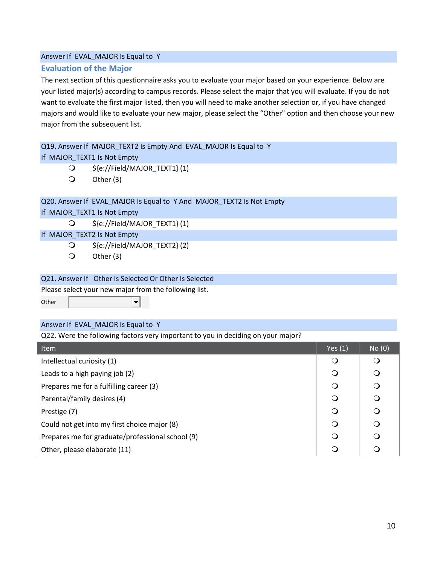### **Evaluation of the Major**

The next section of this questionnaire asks you to evaluate your major based on your experience. Below are your listed major(s) according to campus records. Please select the major that you will evaluate. If you do not want to evaluate the first major listed, then you will need to make another selection or, if you have changed majors and would like to evaluate your new major, please select the "Other" option and then choose your new major from the subsequent list.

### Q19. Answer If MAJOR TEXT2 Is Empty And EVAL MAJOR Is Equal to Y

If MAJOR TEXT1 Is Not Empty

- \${e://Field/MAJOR\_TEXT1} (1)
- $\bigcirc$  Other (3)

### Q20. Answer If EVAL\_MAJOR Is Equal to Y And MAJOR\_TEXT2 Is Not Empty

If MAJOR\_TEXT1 Is Not Empty

\${e://Field/MAJOR\_TEXT1} (1)

If MAJOR\_TEXT2 Is Not Empty

- \${e://Field/MAJOR\_TEXT2} (2)
- Other (3)

#### Q21. Answer If Other Is Selected Or Other Is Selected

 $\left| \cdot \right|$ 

Please select your new major from the following list.

**Other** 

#### Answer If EVAL\_MAJOR Is Equal to Y

Q22. Were the following factors very important to you in deciding on your major?

| <b>Item</b>                                      | Yes $(1)$ | No(0)    |
|--------------------------------------------------|-----------|----------|
| Intellectual curiosity (1)                       | $\Omega$  | $\circ$  |
| Leads to a high paying job (2)                   |           | $\Omega$ |
| Prepares me for a fulfilling career (3)          |           | $\circ$  |
| Parental/family desires (4)                      |           | $\circ$  |
| Prestige (7)                                     |           | $\circ$  |
| Could not get into my first choice major (8)     |           | $\circ$  |
| Prepares me for graduate/professional school (9) |           | $\Omega$ |
| Other, please elaborate (11)                     |           | ∩        |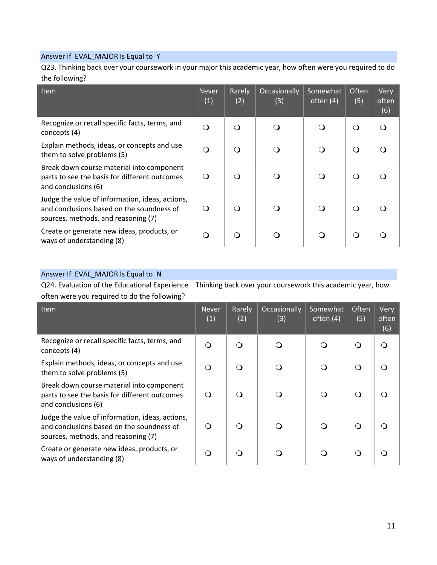Q23. Thinking back over your coursework in your major this academic year, how often were you required to do the following?

| <b>Item</b>                                                                                                                         | <b>Never</b><br>(1) | Rarely<br>(2) | Occasionally<br>(3) | Somewhat<br>often (4) | Often<br>(5) | Very<br>often<br>(6) |
|-------------------------------------------------------------------------------------------------------------------------------------|---------------------|---------------|---------------------|-----------------------|--------------|----------------------|
| Recognize or recall specific facts, terms, and<br>concepts (4)                                                                      | Q                   |               |                     |                       | O            | ∩                    |
| Explain methods, ideas, or concepts and use<br>them to solve problems (5)                                                           | Q                   |               |                     |                       | $\circ$      |                      |
| Break down course material into component<br>parts to see the basis for different outcomes<br>and conclusions (6)                   | Q                   |               | ∩                   | ∩                     | O            |                      |
| Judge the value of information, ideas, actions,<br>and conclusions based on the soundness of<br>sources, methods, and reasoning (7) | ∩                   |               |                     |                       | $\Omega$     |                      |
| Create or generate new ideas, products, or<br>ways of understanding (8)                                                             | Q                   | ∩             |                     |                       | $\circ$      |                      |

## Answer If EVAL\_MAJOR Is Equal to N

Q24. Evaluation of the Educational Experience Thinking back over your coursework this academic year, how often were you required to do the following?

| <b>Item</b>                                                                                                                         | <b>Never</b><br>(1) | Rarely<br>(2) | Occasionally<br>(3) | Somewhat<br>often $(4)$ | Often<br>(5) | Very<br>often<br>(6) |
|-------------------------------------------------------------------------------------------------------------------------------------|---------------------|---------------|---------------------|-------------------------|--------------|----------------------|
| Recognize or recall specific facts, terms, and<br>concepts (4)                                                                      | O                   |               | ∩                   |                         | $\circ$      | ∩                    |
| Explain methods, ideas, or concepts and use<br>them to solve problems (5)                                                           | O                   |               | ∩                   |                         | ∩            |                      |
| Break down course material into component<br>parts to see the basis for different outcomes<br>and conclusions (6)                   | O                   | ∩             | Q                   | ( )                     | ∩            |                      |
| Judge the value of information, ideas, actions,<br>and conclusions based on the soundness of<br>sources, methods, and reasoning (7) | Q                   |               | ∩                   |                         | ∩            |                      |
| Create or generate new ideas, products, or<br>ways of understanding (8)                                                             | ∩                   |               |                     |                         | ∩            |                      |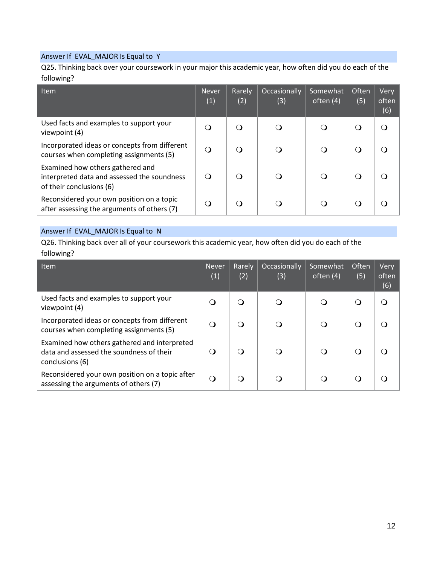Q25. Thinking back over your coursework in your major this academic year, how often did you do each of the following?

| Item                                                                                                        | <b>Never</b><br>(1) | Rarely<br>(2) | Occasionally<br>(3) | Somewhat<br>often $(4)$ | Often<br>(5) | Very<br>often<br>(6) |
|-------------------------------------------------------------------------------------------------------------|---------------------|---------------|---------------------|-------------------------|--------------|----------------------|
| Used facts and examples to support your<br>viewpoint (4)                                                    | O                   |               |                     |                         | O            |                      |
| Incorporated ideas or concepts from different<br>courses when completing assignments (5)                    | Q                   | ∩             |                     |                         | ∩            |                      |
| Examined how others gathered and<br>interpreted data and assessed the soundness<br>of their conclusions (6) | ∩                   |               | ∩                   | ∩                       | $\Omega$     |                      |
| Reconsidered your own position on a topic<br>after assessing the arguments of others (7)                    | ∩                   | ∩             |                     |                         | ◯            |                      |

## Answer If EVAL\_MAJOR Is Equal to N

Q26. Thinking back over all of your coursework this academic year, how often did you do each of the following?

| <b>Item</b>                                                                                                 | <b>Never</b><br>(1) | Rarely<br>(2) | Occasionally<br>(3) | Somewhat<br>often (4) | Often<br>(5) | Very<br>often<br>(6) |
|-------------------------------------------------------------------------------------------------------------|---------------------|---------------|---------------------|-----------------------|--------------|----------------------|
| Used facts and examples to support your<br>viewpoint (4)                                                    | $\circ$             | ∩             |                     |                       | Q            | ∩                    |
| Incorporated ideas or concepts from different<br>courses when completing assignments (5)                    | O                   | ∩             |                     |                       | Q            |                      |
| Examined how others gathered and interpreted<br>data and assessed the soundness of their<br>conclusions (6) | O                   | $\Omega$      | ∩                   | Q                     | Q            |                      |
| Reconsidered your own position on a topic after<br>assessing the arguments of others (7)                    | $\Omega$            |               |                     |                       | ∩            |                      |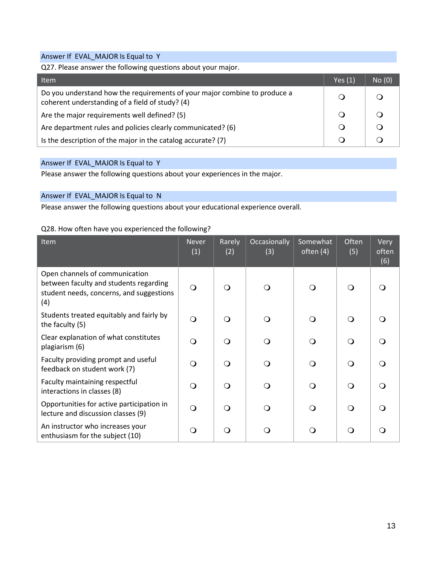Q27. Please answer the following questions about your major.

| <b>Item</b>                                                                                                                  | Yes $(1)$ | No(0) |
|------------------------------------------------------------------------------------------------------------------------------|-----------|-------|
| Do you understand how the requirements of your major combine to produce a<br>coherent understanding of a field of study? (4) |           |       |
| Are the major requirements well defined? (5)                                                                                 |           |       |
| Are department rules and policies clearly communicated? (6)                                                                  |           |       |
| Is the description of the major in the catalog accurate? (7)                                                                 |           |       |

## Answer If EVAL\_MAJOR Is Equal to Y

Please answer the following questions about your experiences in the major.

## Answer If EVAL\_MAJOR Is Equal to N

Please answer the following questions about your educational experience overall.

#### Q28. How often have you experienced the following?

| Item                                                                                                                        | <b>Never</b><br>(1) | Rarely<br>(2) | Occasionally<br>(3) | Somewhat<br>often (4) | Often<br>(5) | Very<br>often<br>(6) |
|-----------------------------------------------------------------------------------------------------------------------------|---------------------|---------------|---------------------|-----------------------|--------------|----------------------|
| Open channels of communication<br>between faculty and students regarding<br>student needs, concerns, and suggestions<br>(4) | $\bigcirc$          | $\Omega$      | ∩                   | $\Omega$              | $\Omega$     |                      |
| Students treated equitably and fairly by<br>the faculty (5)                                                                 | $\Omega$            | $\Omega$      | ∩                   | $\Omega$              | $\Omega$     |                      |
| Clear explanation of what constitutes<br>plagiarism (6)                                                                     | $\Omega$            | $\Omega$      | ∩                   | $\Omega$              | $\Omega$     |                      |
| Faculty providing prompt and useful<br>feedback on student work (7)                                                         | $\Omega$            | $\Omega$      | ∩                   | $\Omega$              | $\Omega$     |                      |
| Faculty maintaining respectful<br>interactions in classes (8)                                                               | $\Omega$            | $\Omega$      | ∩                   | $\Omega$              | $\Omega$     |                      |
| Opportunities for active participation in<br>lecture and discussion classes (9)                                             | $\Omega$            | $\Omega$      | ∩                   | $\Omega$              | ∩            |                      |
| An instructor who increases your<br>enthusiasm for the subject (10)                                                         | Q                   | ∩             |                     | ∩                     | ∩            |                      |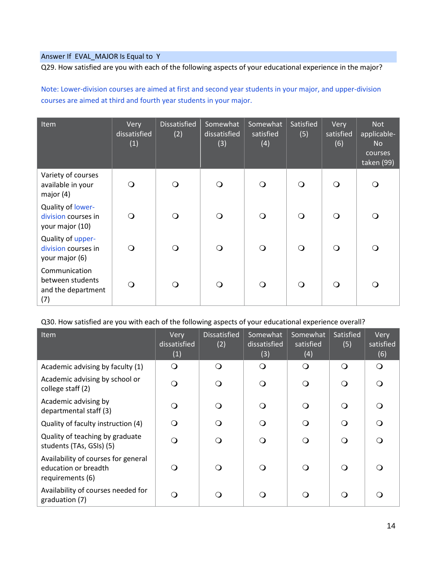Q29. How satisfied are you with each of the following aspects of your educational experience in the major?

Note: Lower-division courses are aimed at first and second year students in your major, and upper-division courses are aimed at third and fourth year students in your major.

| Item                                                           | Very<br>dissatisfied<br>(1) | <b>Dissatisfied</b><br>(2) | Somewhat<br>dissatisfied<br>(3) | Somewhat<br>satisfied<br>(4) | Satisfied<br>(5) | Very<br>satisfied<br>(6) | <b>Not</b><br>applicable-<br><b>No</b><br>courses<br>taken (99) |
|----------------------------------------------------------------|-----------------------------|----------------------------|---------------------------------|------------------------------|------------------|--------------------------|-----------------------------------------------------------------|
| Variety of courses<br>available in your<br>major $(4)$         | ∩                           | $\Omega$                   | $\Omega$                        | $\Omega$                     | $\Omega$         | ∩                        | $\Omega$                                                        |
| Quality of lower-<br>division courses in<br>your major (10)    | $\Omega$                    | $\bigcirc$                 | $\bigcirc$                      | $\bigcirc$                   | $\bigcirc$       | ∩                        | $\Omega$                                                        |
| Quality of upper-<br>division courses in<br>your major (6)     | ∩                           | $\Omega$                   | $\Omega$                        | $\Omega$                     | $\bigcirc$       | ∩                        | $\Omega$                                                        |
| Communication<br>between students<br>and the department<br>(7) | ∩                           | $\Omega$                   | $\bigcirc$                      | $\bigcirc$                   | $\bigcirc$       | ∩                        | ∩                                                               |

### Q30. How satisfied are you with each of the following aspects of your educational experience overall?

| Item                                                                            | Very<br>dissatisfied<br>(1) | <b>Dissatisfied</b><br>(2) | Somewhat<br>dissatisfied<br>(3) | Somewhat<br>satisfied<br>(4) | Satisfied<br>(5) | Very<br>satisfied<br>(6) |
|---------------------------------------------------------------------------------|-----------------------------|----------------------------|---------------------------------|------------------------------|------------------|--------------------------|
| Academic advising by faculty (1)                                                | $\mathsf{O}$                | $\Omega$                   | $\bigcirc$                      | $\Omega$                     | $\Omega$         | ∩                        |
| Academic advising by school or<br>college staff (2)                             | ∩                           | ∩                          | $\Omega$                        | ∩                            | ∩                |                          |
| Academic advising by<br>departmental staff (3)                                  |                             |                            | $\Omega$                        |                              |                  |                          |
| Quality of faculty instruction (4)                                              | ∩                           | ∩                          | $\Omega$                        | ∩                            | ∩                |                          |
| Quality of teaching by graduate<br>students (TAs, GSIs) (5)                     | Q                           | ∩                          | $\Omega$                        | ∩                            | ∩                |                          |
| Availability of courses for general<br>education or breadth<br>requirements (6) | ⊖ )                         |                            | $\Omega$                        |                              | ∩                |                          |
| Availability of courses needed for<br>graduation (7)                            |                             |                            | ∩                               |                              |                  |                          |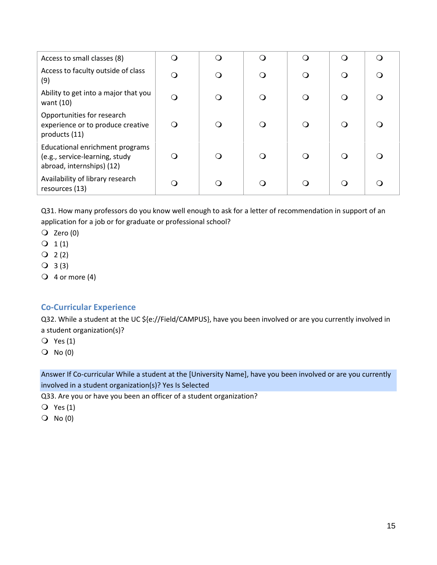| Access to small classes (8)                                                                    | ∩ | ∩ |  |  |
|------------------------------------------------------------------------------------------------|---|---|--|--|
| Access to faculty outside of class<br>(9)                                                      | O | ∩ |  |  |
| Ability to get into a major that you<br>want $(10)$                                            | O | O |  |  |
| Opportunities for research<br>experience or to produce creative<br>products (11)               | ∩ | Q |  |  |
| Educational enrichment programs<br>(e.g., service-learning, study<br>abroad, internships) (12) | 0 | ∩ |  |  |
| Availability of library research<br>resources (13)                                             |   | ∩ |  |  |

Q31. How many professors do you know well enough to ask for a letter of recommendation in support of an application for a job or for graduate or professional school?

- $\overline{Q}$  Zero (0)
- $Q_1(1)$
- $Q_2(2)$
- $Q$  3(3)
- $\bigcirc$  4 or more (4)

## **Co-Curricular Experience**

Q32. While a student at the UC \${e://Field/CAMPUS}, have you been involved or are you currently involved in a student organization(s)?

- $\overline{Q}$  Yes (1)
- $O$  No  $(0)$

Answer If Co-curricular While a student at the [University Name], have you been involved or are you currently involved in a student organization(s)? Yes Is Selected

Q33. Are you or have you been an officer of a student organization?

- $\overline{Q}$  Yes (1)
- $O$  No  $(0)$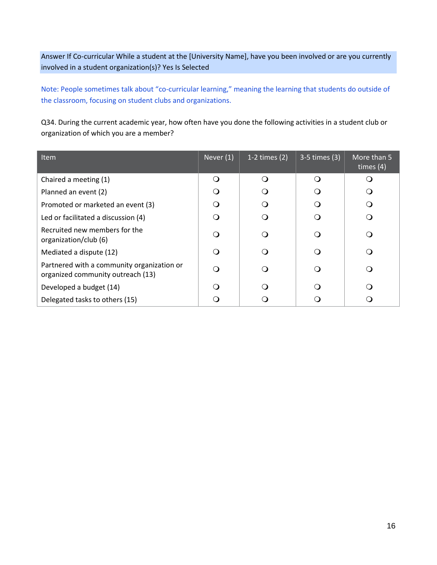Answer If Co-curricular While a student at the [University Name], have you been involved or are you currently involved in a student organization(s)? Yes Is Selected

Note: People sometimes talk about "co-curricular learning," meaning the learning that students do outside of the classroom, focusing on student clubs and organizations.

Q34. During the current academic year, how often have you done the following activities in a student club or organization of which you are a member?

| <b>Item</b>                                                                     | Never (1) | 1-2 times $(2)$ | 3-5 times (3) | More than 5<br>times $(4)$ |
|---------------------------------------------------------------------------------|-----------|-----------------|---------------|----------------------------|
| Chaired a meeting (1)                                                           | $\Omega$  | $\Omega$        |               |                            |
| Planned an event (2)                                                            | ∩         |                 |               | ∩                          |
| Promoted or marketed an event (3)                                               | $\Omega$  |                 |               | ∩                          |
| Led or facilitated a discussion (4)                                             | ∩         |                 |               | ∩                          |
| Recruited new members for the<br>organization/club (6)                          | $\Omega$  |                 |               | ∩                          |
| Mediated a dispute (12)                                                         | $\Omega$  |                 |               | ∩                          |
| Partnered with a community organization or<br>organized community outreach (13) | $\Omega$  |                 |               | ∩                          |
| Developed a budget (14)                                                         | ∩         | ∩               | ∩             | $\Omega$                   |
| Delegated tasks to others (15)                                                  |           |                 |               | $\Omega$                   |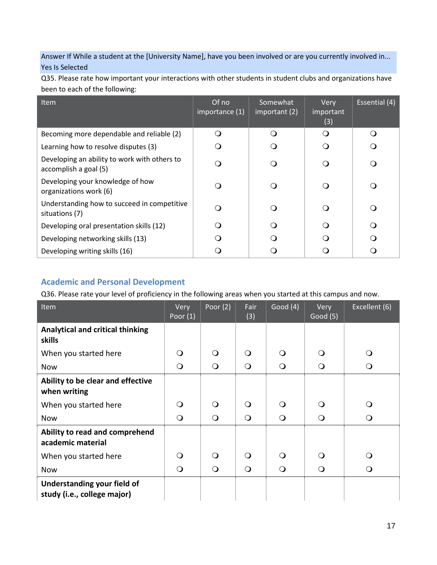Answer If While a student at the [University Name], have you been involved or are you currently involved in... Yes Is Selected

Q35. Please rate how important your interactions with other students in student clubs and organizations have been to each of the following:

| <b>Item</b>                                                           | Of no<br>importance (1) | Somewhat<br>important (2) | Very<br>important<br>(3) | Essential (4) |
|-----------------------------------------------------------------------|-------------------------|---------------------------|--------------------------|---------------|
| Becoming more dependable and reliable (2)                             | Q                       | $\Omega$                  | ∩                        |               |
| Learning how to resolve disputes (3)                                  | $\Omega$                | ∩                         |                          |               |
| Developing an ability to work with others to<br>accomplish a goal (5) | ∩                       | ∩                         |                          |               |
| Developing your knowledge of how<br>organizations work (6)            | ∩                       | ∩                         |                          |               |
| Understanding how to succeed in competitive<br>situations (7)         | ∩                       | $\Omega$                  |                          |               |
| Developing oral presentation skills (12)                              | $\Omega$                | ∩                         |                          |               |
| Developing networking skills (13)                                     |                         | ∩                         |                          |               |
| Developing writing skills (16)                                        |                         |                           |                          |               |

# **Academic and Personal Development**

Q36. Please rate your level of proficiency in the following areas when you started at this campus and now.

| Item                                                       | Very<br>Poor $(1)$ | Poor $(2)$ | Fair<br>(3) | Good $(4)$ | Very<br>Good(5) | Excellent (6) |
|------------------------------------------------------------|--------------------|------------|-------------|------------|-----------------|---------------|
| <b>Analytical and critical thinking</b><br>skills          |                    |            |             |            |                 |               |
| When you started here                                      | ∩                  | Q          | ∩           | $\Omega$   | $\Omega$        | $\circ$       |
| <b>Now</b>                                                 | $\Omega$           | $\bigcirc$ | $\Omega$    | $\bigcirc$ | $\bigcirc$      | $\circ$       |
| Ability to be clear and effective<br>when writing          |                    |            |             |            |                 |               |
| When you started here                                      | ∩                  | $\Omega$   | ∩           | $\Omega$   | ∩               | $\Omega$      |
| <b>Now</b>                                                 | $\Omega$           | $\bigcirc$ | $\Omega$    | $\bigcirc$ | $\Omega$        | $\Omega$      |
| Ability to read and comprehend<br>academic material        |                    |            |             |            |                 |               |
| When you started here                                      | ∩                  | Q          | ∩           | $\Omega$   | ∩               | $\Omega$      |
| <b>Now</b>                                                 | $\Omega$           | $\Omega$   | $\Omega$    | $\Omega$   | Q               | $\circ$       |
| Understanding your field of<br>study (i.e., college major) |                    |            |             |            |                 |               |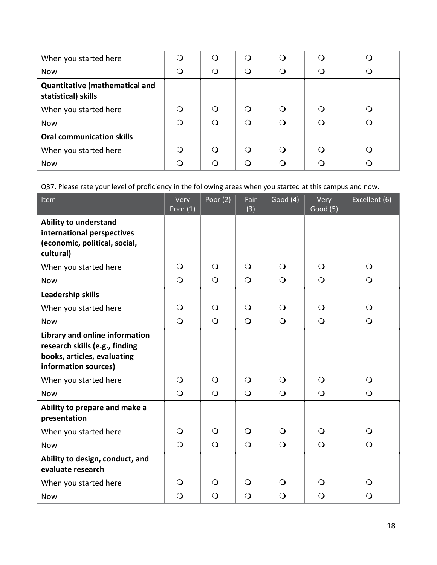| When you started here                                        |          |          |          |   |  |
|--------------------------------------------------------------|----------|----------|----------|---|--|
| <b>Now</b>                                                   | ∩        | $\Omega$ | $\Omega$ | ∩ |  |
| <b>Quantitative (mathematical and</b><br>statistical) skills |          |          |          |   |  |
| When you started here                                        | ∩        |          | ∩        | ∩ |  |
| <b>Now</b>                                                   | $\Omega$ | $\Omega$ | $\Omega$ | Ω |  |
| <b>Oral communication skills</b>                             |          |          |          |   |  |
| When you started here                                        | ∩        | ∩        | ∩        | ∩ |  |
| <b>Now</b>                                                   | ∩        |          | ∩        |   |  |

Q37. Please rate your level of proficiency in the following areas when you started at this campus and now.

| Item                                                                                                                    | Very<br>Poor $(1)$ | Poor $(2)$     | Fair<br>(3)    | Good $(4)$ | Very<br>Good (5) | Excellent (6)  |
|-------------------------------------------------------------------------------------------------------------------------|--------------------|----------------|----------------|------------|------------------|----------------|
| <b>Ability to understand</b><br>international perspectives<br>(economic, political, social,<br>cultural)                |                    |                |                |            |                  |                |
| When you started here                                                                                                   | $\circ$            | $\Omega$       | $\Omega$       | $\bigcirc$ | $\Omega$         | $\bigcirc$     |
| <b>Now</b>                                                                                                              | $\bigcirc$         | $\bigcirc$     | $\overline{O}$ | $\bigcirc$ | $\bigcirc$       | $\bigcirc$     |
| Leadership skills                                                                                                       |                    |                |                |            |                  |                |
| When you started here                                                                                                   | $\circ$            | $\bigcirc$     | $\circ$        | $\bigcirc$ | $\bigcirc$       | $\bigcirc$     |
| <b>Now</b>                                                                                                              | $\bigcirc$         | $\bigcirc$     | $\bigcirc$     | $\bigcirc$ | $\bigcirc$       | $\bigcirc$     |
| Library and online information<br>research skills (e.g., finding<br>books, articles, evaluating<br>information sources) |                    |                |                |            |                  |                |
| When you started here                                                                                                   | $\Omega$           | $\Omega$       | $\Omega$       | $\Omega$   | $\Omega$         | $\bigcirc$     |
| <b>Now</b>                                                                                                              | $\bigcirc$         | $\overline{O}$ | $\bigcirc$     | $\bigcirc$ | $\bigcirc$       | $\overline{O}$ |
| Ability to prepare and make a<br>presentation                                                                           |                    |                |                |            |                  |                |
| When you started here                                                                                                   | $\bigcirc$         | $\bigcirc$     | $\circ$        | $\bigcirc$ | $\bigcirc$       | $\bigcirc$     |
| <b>Now</b>                                                                                                              | $\bigcirc$         | $\bigcirc$     | $\overline{O}$ | $\bigcirc$ | $\bigcirc$       | $\bigcirc$     |
| Ability to design, conduct, and<br>evaluate research                                                                    |                    |                |                |            |                  |                |
| When you started here                                                                                                   | $\circ$            | $\bigcirc$     | $\Omega$       | $\bigcirc$ | $\Omega$         | $\bigcirc$     |
| <b>Now</b>                                                                                                              | $\Omega$           | $\Omega$       | $\circ$        | $\Omega$   | $\Omega$         | $\bigcirc$     |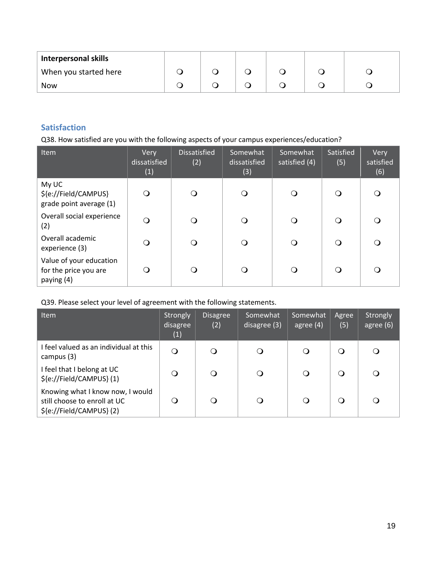| <b>Interpersonal skills</b> |  |  |  |
|-----------------------------|--|--|--|
| When you started here       |  |  |  |
| <b>Now</b>                  |  |  |  |

# **Satisfaction**

Q38. How satisfied are you with the following aspects of your campus experiences/education?

| Item                                                           | Very<br>dissatisfied<br>(1) | <b>Dissatisfied</b><br>(2) | Somewhat<br>dissatisfied<br>(3) | Somewhat<br>satisfied (4) | Satisfied<br>(5) | Very<br>satisfied<br>(6) |
|----------------------------------------------------------------|-----------------------------|----------------------------|---------------------------------|---------------------------|------------------|--------------------------|
| My UC<br>\${e://Field/CAMPUS}<br>grade point average (1)       | $\Omega$                    | O                          | Q                               | $\Omega$                  | $\Omega$         | Q                        |
| Overall social experience<br>(2)                               | O                           | O                          | Q                               | ∩                         | ∩                | $\left( \right)$         |
| Overall academic<br>experience (3)                             | O                           | O                          | Ω                               | ∩                         | $\Omega$         | Q                        |
| Value of your education<br>for the price you are<br>paying (4) | ∩                           | O                          | ∩                               | ∩                         | ∩                | ( )                      |

Q39. Please select your level of agreement with the following statements.

| <b>Item</b>                                                                                 | Strongly<br>disagree<br>(1) | <b>Disagree</b><br>(2) | Somewhat<br>disagree (3) | Somewhat<br>agree $(4)$ | Agree<br>(5) | Strongly<br>agree (6) |
|---------------------------------------------------------------------------------------------|-----------------------------|------------------------|--------------------------|-------------------------|--------------|-----------------------|
| I feel valued as an individual at this<br>campus (3)                                        | $\Omega$                    | $\circ$                | O                        | O                       | $\Omega$     | $\Omega$              |
| I feel that I belong at UC<br>\${e://Field/CAMPUS}(1)                                       | $\Omega$                    | $\Omega$               | O                        | $\Omega$                | $\Omega$     | $\Omega$              |
| Knowing what I know now, I would<br>still choose to enroll at UC<br>\${e://Field/CAMPUS}(2) | Ő                           | $\circ$                | Ő                        | O                       | Q            | $\Omega$              |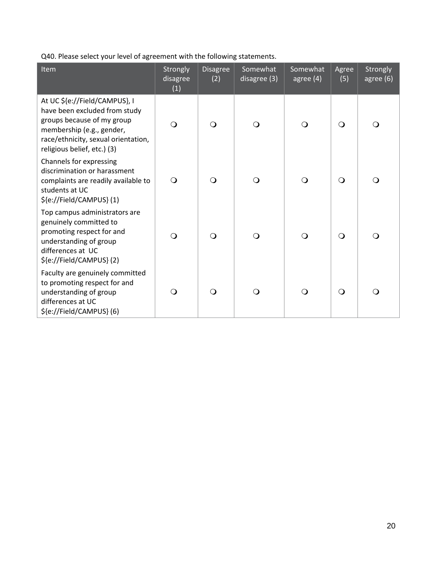Q40. Please select your level of agreement with the following statements.

| Item                                                                                                                                                                                            | Strongly<br>disagree<br>(1) | <b>Disagree</b><br>(2) | Somewhat<br>disagree (3) | Somewhat<br>agree $(4)$ | Agree<br>(5) | Strongly<br>agree $(6)$ |
|-------------------------------------------------------------------------------------------------------------------------------------------------------------------------------------------------|-----------------------------|------------------------|--------------------------|-------------------------|--------------|-------------------------|
| At UC \${e://Field/CAMPUS}, I<br>have been excluded from study<br>groups because of my group<br>membership (e.g., gender,<br>race/ethnicity, sexual orientation,<br>religious belief, etc.) (3) | $\Omega$                    | $\Omega$               | $\bigcirc$               | $\Omega$                | $\Omega$     | $\Omega$                |
| Channels for expressing<br>discrimination or harassment<br>complaints are readily available to<br>students at UC<br>\${e://Field/CAMPUS}(1)                                                     | $\Omega$                    | $\Omega$               | $\Omega$                 | ∩                       | $\Omega$     | O                       |
| Top campus administrators are<br>genuinely committed to<br>promoting respect for and<br>understanding of group<br>differences at UC<br>\${e://Field/CAMPUS}(2)                                  | $\Omega$                    | $\Omega$               | $\Omega$                 | ∩                       | $\Omega$     | O                       |
| Faculty are genuinely committed<br>to promoting respect for and<br>understanding of group<br>differences at UC<br>\${e://Field/CAMPUS}(6)                                                       | ∩                           | $\Omega$               | ∩                        | ∩                       | $\Omega$     | ∩                       |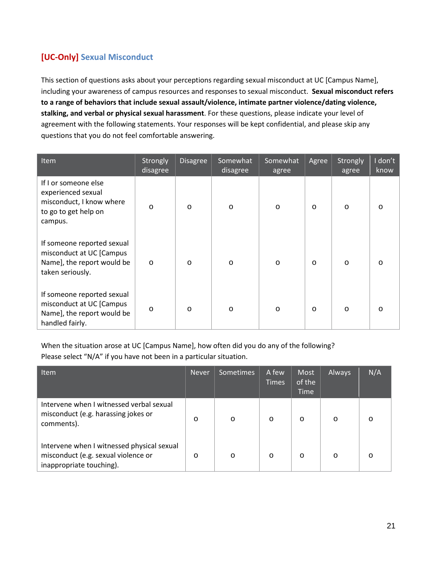# **[UC-Only] Sexual Misconduct**

This section of questions asks about your perceptions regarding sexual misconduct at UC [Campus Name], including your awareness of campus resources and responses to sexual misconduct. **Sexual misconduct refers to a range of behaviors that include sexual assault/violence, intimate partner violence/dating violence, stalking, and verbal or physical sexual harassment**. For these questions, please indicate your level of agreement with the following statements. Your responses will be kept confidential, and please skip any questions that you do not feel comfortable answering.

| Item                                                                                                      | Strongly<br>disagree | <b>Disagree</b> | Somewhat<br>disagree | Somewhat<br>agree | Agree   | Strongly<br>agree | I don't<br>know |
|-----------------------------------------------------------------------------------------------------------|----------------------|-----------------|----------------------|-------------------|---------|-------------------|-----------------|
| If I or someone else<br>experienced sexual<br>misconduct, I know where<br>to go to get help on<br>campus. | $\circ$              | $\circ$         | $\circ$              | $\circ$           | $\circ$ | $\circ$           | $\circ$         |
| If someone reported sexual<br>misconduct at UC [Campus<br>Name], the report would be<br>taken seriously.  | $\circ$              | $\circ$         | $\circ$              | $\circ$           | $\circ$ | $\circ$           | $\circ$         |
| If someone reported sexual<br>misconduct at UC [Campus<br>Name], the report would be<br>handled fairly.   | $\circ$              | $\circ$         | $\circ$              | $\circ$           | $\circ$ | $\circ$           | $\circ$         |

When the situation arose at UC [Campus Name], how often did you do any of the following? Please select "N/A" if you have not been in a particular situation.

| <b>Item</b>                                                                                                   | <b>Never</b> | Sometimes | A few<br><b>Times</b> | Most<br>of the<br><b>Time</b> | Always  | N/A     |
|---------------------------------------------------------------------------------------------------------------|--------------|-----------|-----------------------|-------------------------------|---------|---------|
| Intervene when I witnessed verbal sexual<br>misconduct (e.g. harassing jokes or<br>comments).                 | $\circ$      | $\circ$   | $\circ$               | $\circ$                       | $\circ$ | $\circ$ |
| Intervene when I witnessed physical sexual<br>misconduct (e.g. sexual violence or<br>inappropriate touching). | $\circ$      | $\circ$   | $\circ$               | $\circ$                       | $\circ$ | $\circ$ |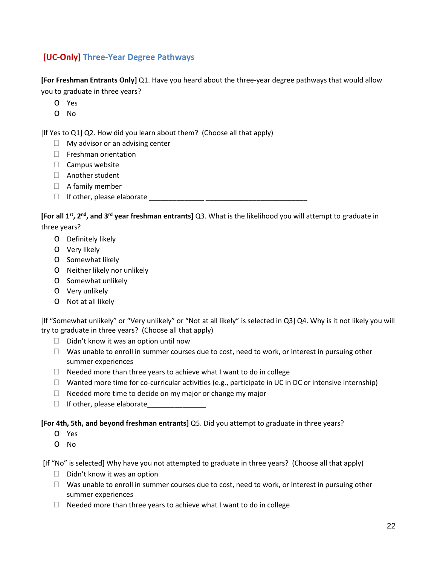# **[UC-Only] Three-Year Degree Pathways**

**[For Freshman Entrants Only]** Q1. Have you heard about the three-year degree pathways that would allow you to graduate in three years?

- o Yes
- o No

[If Yes to Q1] Q2. How did you learn about them? (Choose all that apply)

- $\Box$  My advisor or an advising center
- $\Box$  Freshman orientation
- $\Box$  Campus website
- Another student
- $\Box$  A family member
- If other, please elaborate \_\_\_\_\_\_\_\_\_\_\_\_\_\_ \_\_\_\_\_\_\_\_\_\_\_\_\_\_\_\_\_\_\_\_\_\_\_\_\_\_

**[For all 1st, 2nd, and 3rd year freshman entrants]** Q3. What is the likelihood you will attempt to graduate in three years?

- o Definitely likely
- o Very likely
- o Somewhat likely
- o Neither likely nor unlikely
- o Somewhat unlikely
- o Very unlikely
- o Not at all likely

[If "Somewhat unlikely" or "Very unlikely" or "Not at all likely" is selected in Q3] Q4. Why is it not likely you will try to graduate in three years? (Choose all that apply)

- $\Box$  Didn't know it was an option until now
- $\Box$  Was unable to enroll in summer courses due to cost, need to work, or interest in pursuing other summer experiences
- $\Box$  Needed more than three years to achieve what I want to do in college
- $\Box$  Wanted more time for co-curricular activities (e.g., participate in UC in DC or intensive internship)
- $\Box$  Needed more time to decide on my major or change my major
- $\Box$  If other, please elaborate

#### **[For 4th, 5th, and beyond freshman entrants]** Q5. Did you attempt to graduate in three years?

- o Yes
- o No

[If "No" is selected] Why have you not attempted to graduate in three years? (Choose all that apply)

- $\Box$  Didn't know it was an option
- $\Box$  Was unable to enroll in summer courses due to cost, need to work, or interest in pursuing other summer experiences
- $\Box$  Needed more than three years to achieve what I want to do in college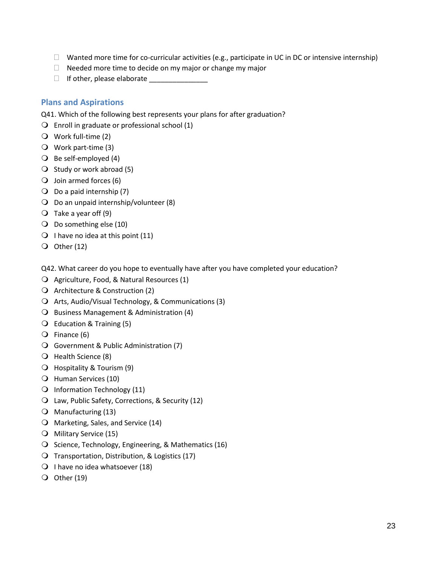- $\Box$  Wanted more time for co-curricular activities (e.g., participate in UC in DC or intensive internship)
- $\Box$  Needed more time to decide on my major or change my major
- $\Box$  If other, please elaborate

## **Plans and Aspirations**

Q41. Which of the following best represents your plans for after graduation?

- $\bigcirc$  Enroll in graduate or professional school (1)
- Work full-time (2)
- Work part-time (3)
- $\bigcirc$  Be self-employed (4)
- $\bigcirc$  Study or work abroad (5)
- $\bigcirc$  Join armed forces (6)
- $\bigcirc$  Do a paid internship (7)
- $\bigcirc$  Do an unpaid internship/volunteer (8)
- $\bigcirc$  Take a year off (9)
- $\bigcirc$  Do something else (10)
- $\bigcirc$  I have no idea at this point (11)
- $\bigcirc$  Other (12)

Q42. What career do you hope to eventually have after you have completed your education?

- Agriculture, Food, & Natural Resources (1)
- Q Architecture & Construction (2)
- Arts, Audio/Visual Technology, & Communications (3)
- O Business Management & Administration (4)
- $\bigcirc$  Education & Training (5)
- $\overline{O}$  Finance (6)
- Government & Public Administration (7)
- O Health Science (8)
- $\bigcirc$  Hospitality & Tourism (9)
- Human Services (10)
- Information Technology (11)
- Law, Public Safety, Corrections, & Security (12)
- $\bigcirc$  Manufacturing (13)
- O Marketing, Sales, and Service (14)
- Military Service (15)
- $\bigcirc$  Science, Technology, Engineering, & Mathematics (16)
- $\bigcirc$  Transportation, Distribution, & Logistics (17)
- $\bigcirc$  I have no idea whatsoever (18)
- $\bigcirc$  Other (19)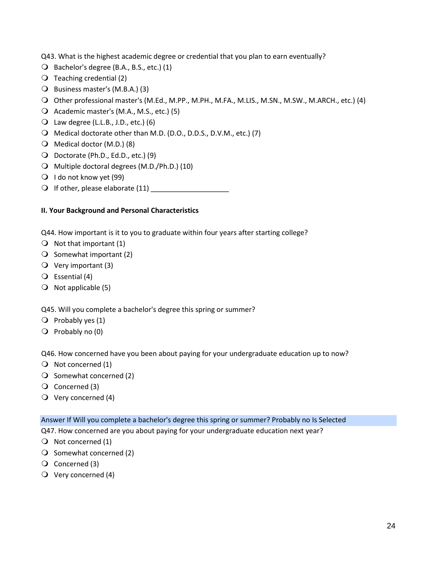Q43. What is the highest academic degree or credential that you plan to earn eventually?

- $\bigcirc$  Bachelor's degree (B.A., B.S., etc.) (1)
- $\bigcirc$  Teaching credential (2)
- Business master's (M.B.A.) (3)
- Other professional master's (M.Ed., M.PP., M.PH., M.FA., M.LIS., M.SN., M.SW., M.ARCH., etc.) (4)
- Academic master's (M.A., M.S., etc.) (5)
- $\bigcirc$  Law degree (L.L.B., J.D., etc.) (6)
- Medical doctorate other than M.D. (D.O., D.D.S., D.V.M., etc.) (7)
- $\bigcirc$  Medical doctor (M.D.) (8)
- Doctorate (Ph.D., Ed.D., etc.) (9)
- O Multiple doctoral degrees (M.D./Ph.D.) (10)
- $\bigcirc$  I do not know yet (99)
- $\bigcirc$  If other, please elaborate (11)

### **II. Your Background and Personal Characteristics**

Q44. How important is it to you to graduate within four years after starting college?

- $\bigcirc$  Not that important (1)
- $\bigcirc$  Somewhat important (2)
- $\bigcirc$  Very important (3)
- $\bigcirc$  Essential (4)
- $\bigcirc$  Not applicable (5)

Q45. Will you complete a bachelor's degree this spring or summer?

- $\bigcirc$  Probably yes (1)
- $\bigcirc$  Probably no (0)

Q46. How concerned have you been about paying for your undergraduate education up to now?

- $\bigcirc$  Not concerned (1)
- $\bigcirc$  Somewhat concerned (2)
- Q Concerned (3)
- $\bigcirc$  Very concerned (4)

#### Answer If Will you complete a bachelor's degree this spring or summer? Probably no Is Selected

Q47. How concerned are you about paying for your undergraduate education next year?

- $\bigcirc$  Not concerned (1)
- $\bigcirc$  Somewhat concerned (2)
- Q Concerned (3)
- $\bigcirc$  Very concerned (4)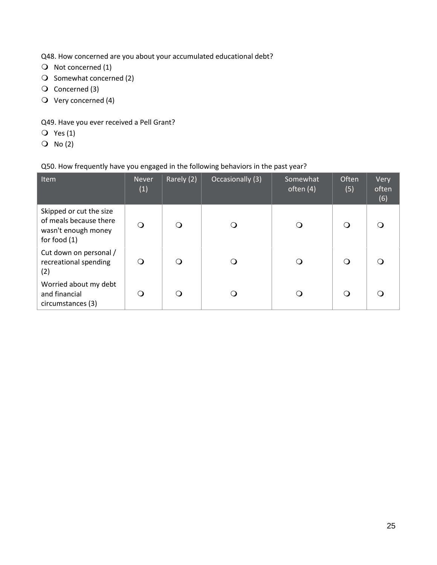Q48. How concerned are you about your accumulated educational debt?

- $\bigcirc$  Not concerned (1)
- $\bigcirc$  Somewhat concerned (2)
- Q Concerned (3)
- $\overline{O}$  Very concerned (4)

Q49. Have you ever received a Pell Grant?

- $Q$  Yes (1)
- $O$  No (2)

## Q50. How frequently have you engaged in the following behaviors in the past year?

| Item                                                                                       | <b>Never</b><br>(1) | Rarely (2) | Occasionally (3) | Somewhat<br>often (4) | Often<br>(5) | Very<br>often<br>(6) |
|--------------------------------------------------------------------------------------------|---------------------|------------|------------------|-----------------------|--------------|----------------------|
| Skipped or cut the size<br>of meals because there<br>wasn't enough money<br>for food $(1)$ | Q                   | ∩          |                  | (၂                    | ∩            |                      |
| Cut down on personal /<br>recreational spending<br>(2)                                     | Ω                   | ∩          | ( )              | (၂                    | ∩            |                      |
| Worried about my debt<br>and financial<br>circumstances (3)                                | ◯                   | ∩          | $\Omega$         | (၂                    | ∩            |                      |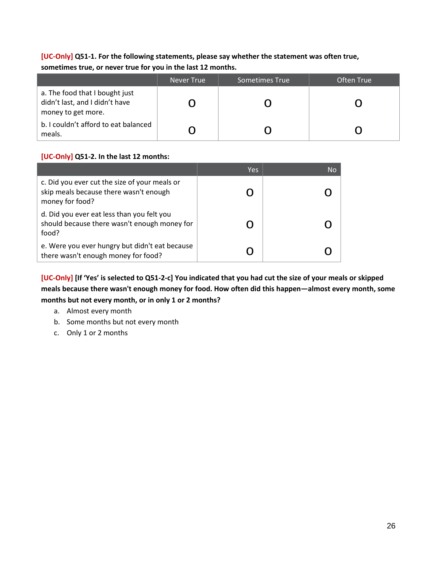## **[UC-Only] Q51-1. For the following statements, please say whether the statement was often true, sometimes true, or never true for you in the last 12 months.**

|                                                                                        | Never True | Sometimes True | Often True |
|----------------------------------------------------------------------------------------|------------|----------------|------------|
| a. The food that I bought just<br>didn't last, and I didn't have<br>money to get more. |            |                |            |
| b. I couldn't afford to eat balanced<br>meals.                                         |            |                |            |

## **[UC-Only] Q51-2. In the last 12 months:**

|                                                                                                            | Yes | No |
|------------------------------------------------------------------------------------------------------------|-----|----|
| c. Did you ever cut the size of your meals or<br>skip meals because there wasn't enough<br>money for food? |     |    |
| d. Did you ever eat less than you felt you<br>should because there wasn't enough money for<br>food?        |     |    |
| e. Were you ever hungry but didn't eat because<br>there wasn't enough money for food?                      |     |    |

**[UC-Only] [If 'Yes' is selected to Q51-2-c] You indicated that you had cut the size of your meals or skipped meals because there wasn't enough money for food. How often did this happen—almost every month, some months but not every month, or in only 1 or 2 months?** 

- a. Almost every month
- b. Some months but not every month
- c. Only 1 or 2 months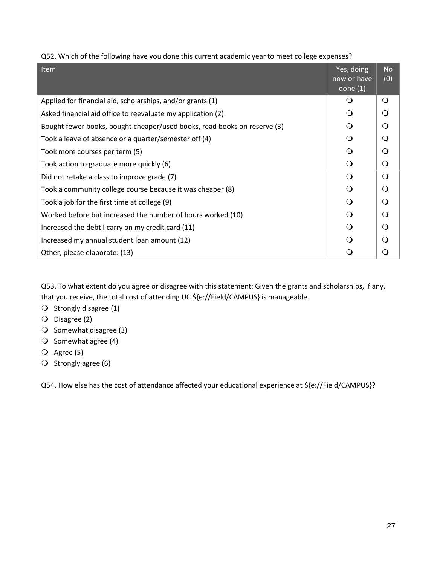Q52. Which of the following have you done this current academic year to meet college expenses?

| Item                                                                     | Yes, doing<br>now or have<br>done $(1)$ | <b>No</b><br>(0) |
|--------------------------------------------------------------------------|-----------------------------------------|------------------|
| Applied for financial aid, scholarships, and/or grants (1)               | $\circ$                                 | $\Omega$         |
| Asked financial aid office to reevaluate my application (2)              | $\Omega$                                | Q                |
| Bought fewer books, bought cheaper/used books, read books on reserve (3) | $\Omega$                                | Q                |
| Took a leave of absence or a quarter/semester off (4)                    | $\Omega$                                | O                |
| Took more courses per term (5)                                           | $\Omega$                                | $\Omega$         |
| Took action to graduate more quickly (6)                                 | $\bigcirc$                              | O                |
| Did not retake a class to improve grade (7)                              | $\Omega$                                | O                |
| Took a community college course because it was cheaper (8)               | $\Omega$                                | $\Omega$         |
| Took a job for the first time at college (9)                             | $\Omega$                                | O                |
| Worked before but increased the number of hours worked (10)              | $\Omega$                                | $\Omega$         |
| Increased the debt I carry on my credit card (11)                        | $\Omega$                                | Q                |
| Increased my annual student loan amount (12)                             | ∩                                       | ∩                |
| Other, please elaborate: (13)                                            | Q                                       | O                |

Q53. To what extent do you agree or disagree with this statement: Given the grants and scholarships, if any, that you receive, the total cost of attending UC \${e://Field/CAMPUS} is manageable.

- $\bigcirc$  Strongly disagree (1)
- O Disagree (2)
- $\bigcirc$  Somewhat disagree (3)
- $\bigcirc$  Somewhat agree (4)
- $\overline{Q}$  Agree (5)
- $\bigcirc$  Strongly agree (6)

Q54. How else has the cost of attendance affected your educational experience at \${e://Field/CAMPUS}?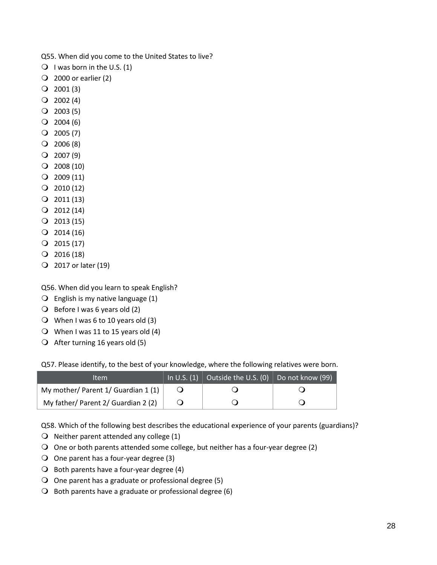Q55. When did you come to the United States to live?

- $\bigcirc$  I was born in the U.S. (1)
- $\overline{Q}$  2000 or earlier (2)
- $Q$  2001 (3)
- $Q$  2002 (4)
- $Q$  2003 (5)
- $Q$  2004 (6)
- $Q$  2005 (7)
- $Q$  2006 (8)
- $Q$  2007 (9)
- $Q$  2008 (10)
- $Q$  2009 (11)
- $Q$  2010 (12)
- $Q$  2011 (13)
- $Q$  2012 (14)
- $Q$  2013 (15)
- $Q$  2014 (16)
- $Q$  2015 (17)
- $Q$  2016 (18)
- 2017 or later (19)

Q56. When did you learn to speak English?

- $\bigcirc$  English is my native language (1)
- $\bigcirc$  Before I was 6 years old (2)
- When I was 6 to 10 years old (3)
- $\bigcirc$  When I was 11 to 15 years old (4)
- $\bigcirc$  After turning 16 years old (5)

Q57. Please identify, to the best of your knowledge, where the following relatives were born.

| ltem                                   | In U.S. (1) Outside the U.S. (0) Do not know (99) |  |
|----------------------------------------|---------------------------------------------------|--|
| My mother/ Parent $1/$ Guardian $1(1)$ |                                                   |  |
| My father/ Parent 2/ Guardian 2 (2)    |                                                   |  |

Q58. Which of the following best describes the educational experience of your parents (guardians)?

- $\bigcirc$  Neither parent attended any college (1)
- $\Omega$  One or both parents attended some college, but neither has a four-year degree (2)
- $\bigcirc$  One parent has a four-year degree (3)
- $\bigcirc$  Both parents have a four-year degree (4)
- O One parent has a graduate or professional degree (5)
- $\Theta$  Both parents have a graduate or professional degree (6)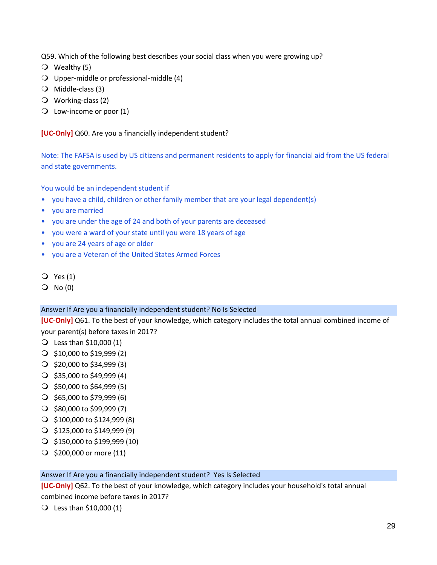Q59. Which of the following best describes your social class when you were growing up?

- $\overline{O}$  Wealthy (5)
- Upper-middle or professional-middle (4)
- Middle-class (3)
- Working-class (2)
- $\overline{Q}$  Low-income or poor (1)

**[UC-Only]** Q60. Are you a financially independent student?

Note: The FAFSA is used by US citizens and permanent residents to apply for financial aid from the US federal and state governments.

You would be an independent student if

- you have a child, children or other family member that are your legal dependent(s)
- you are married
- you are under the age of 24 and both of your parents are deceased
- you were a ward of your state until you were 18 years of age
- you are 24 years of age or older
- you are a Veteran of the United States Armed Forces
- Yes (1)
- $O$  No  $(0)$

#### Answer If Are you a financially independent student? No Is Selected

**[UC-Only]** Q61. To the best of your knowledge, which category includes the total annual combined income of your parent(s) before taxes in 2017?

- Less than \$10,000 (1)
- $\bigcirc$  \$10,000 to \$19,999 (2)
- $\bigcirc$  \$20,000 to \$34,999 (3)
- $\bigcirc$  \$35,000 to \$49,999 (4)
- $\bigcirc$  \$50,000 to \$64,999 (5)
- $\bigcirc$  \$65,000 to \$79,999 (6)
- $\bigcirc$  \$80,000 to \$99,999 (7)
- $\bigcirc$  \$100,000 to \$124,999 (8)
- $\bigcirc$  \$125,000 to \$149,999 (9)
- $\bigcirc$  \$150,000 to \$199,999 (10)
- $\bigcirc$  \$200,000 or more (11)

#### Answer If Are you a financially independent student? Yes Is Selected

**[UC-Only]** Q62. To the best of your knowledge, which category includes your household's total annual combined income before taxes in 2017?

 $\bigcirc$  Less than \$10,000 (1)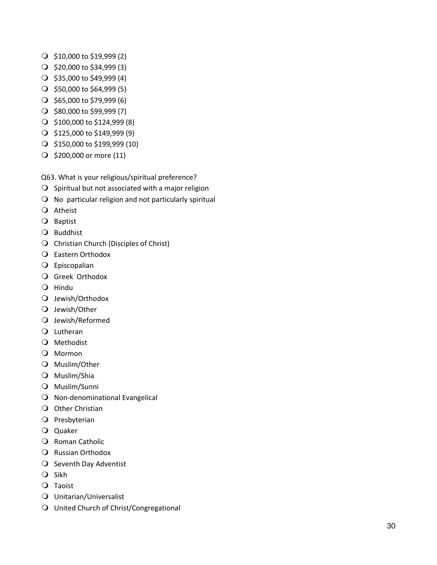- $\bigcirc$  \$10,000 to \$19,999 (2)
- $\bigcirc$  \$20,000 to \$34,999 (3)
- $\bigcirc$  \$35,000 to \$49,999 (4)
- $\bigcirc$  \$50,000 to \$64,999 (5)
- $\bigcirc$  \$65,000 to \$79,999 (6)
- $\bigcirc$  \$80,000 to \$99,999 (7)
- \$100,000 to \$124,999 (8)
- $\bigcirc$  \$125,000 to \$149,999 (9)
- \$150,000 to \$199,999 (10 )
- $\bigcirc$  \$200,000 or more (11)

Q63. What is your religious/spiritual preference?

- $\bigcirc$  Spiritual but not associated with a major religion
- $\Omega$  No particular religion and not particularly spiritual
- Atheist
- O Baptist
- Q Buddhist
- O Christian Church (Disciples of Christ)
- Eastern Orthodox
- Episcopalian
- O Greek Orthodox
- O Hindu
- O Jewish/Orthodox
- Q Jewish/Other
- Jewish/Reformed
- Lutheran
- O Methodist
- O Mormon
- O Muslim/Other
- Muslim/Shia
- Muslim/Sunni
- O Non-denominational Evangelical
- O Other Christian
- O Presbyterian
- Quaker
- O Roman Catholic
- Q Russian Orthodox
- O Seventh Day Adventist
- $Q$  Sikh
- Taoist
- Unitarian/Universalist
- United Church of Christ/Congregational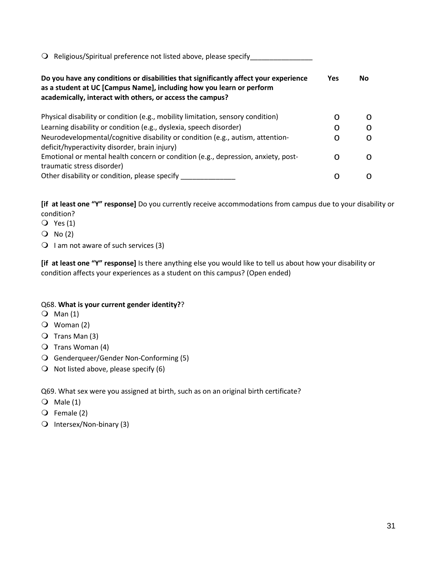| $\Omega$ Religious/Spiritual preference not listed above, please specify                                                                                                                                                  |     |    |
|---------------------------------------------------------------------------------------------------------------------------------------------------------------------------------------------------------------------------|-----|----|
| Do you have any conditions or disabilities that significantly affect your experience<br>as a student at UC [Campus Name], including how you learn or perform<br>academically, interact with others, or access the campus? | Yes | No |
| Physical disability or condition (e.g., mobility limitation, sensory condition)                                                                                                                                           | ◯   | ∩  |
| Learning disability or condition (e.g., dyslexia, speech disorder)                                                                                                                                                        | O   | ∩  |
| Neurodevelopmental/cognitive disability or condition (e.g., autism, attention-<br>deficit/hyperactivity disorder, brain injury)                                                                                           | O   | ∩  |
| Emotional or mental health concern or condition (e.g., depression, anxiety, post-<br>traumatic stress disorder)                                                                                                           | ∩   | ∩  |
| Other disability or condition, please specify                                                                                                                                                                             | ∩   | ∩  |

**[if at least one "Y" response]** Do you currently receive accommodations from campus due to your disability or condition?

- $\overline{Q}$  Yes (1)
- $O$  No (2)
- $\bigcirc$  I am not aware of such services (3)

**[if at least one "Y" response]** Is there anything else you would like to tell us about how your disability or condition affects your experiences as a student on this campus? (Open ended)

### Q68. **What is your current gender identity?**?

- $\bigcirc$  Man (1)
- Woman (2)
- $\overline{O}$  Trans Man (3)
- $\bigcirc$  Trans Woman (4)
- Genderqueer/Gender Non-Conforming (5)
- $\bigcirc$  Not listed above, please specify (6)

Q69. What sex were you assigned at birth, such as on an original birth certificate?

- $\bigcirc$  Male (1)
- Female (2)
- Intersex/Non-binary (3)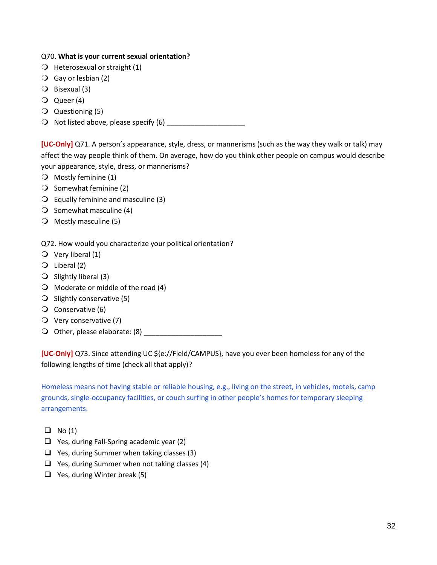#### Q70. **What is your current sexual orientation?**

- $\bigcirc$  Heterosexual or straight (1)
- $\bigcirc$  Gay or lesbian (2)
- Bisexual (3)
- Queer (4)
- Questioning (5)
- $\bigcirc$  Not listed above, please specify (6)

**[UC-Only]** Q71. A person's appearance, style, dress, or mannerisms (such as the way they walk or talk) may affect the way people think of them. On average, how do you think other people on campus would describe your appearance, style, dress, or mannerisms?

- O Mostly feminine (1)
- $\bigcirc$  Somewhat feminine (2)
- $\overline{Q}$  Equally feminine and masculine (3)
- $\bigcirc$  Somewhat masculine (4)
- $\bigcirc$  Mostly masculine (5)

Q72. How would you characterize your political orientation?

- $\bigcirc$  Very liberal (1)
- $\bigcirc$  Liberal (2)
- $\bigcirc$  Slightly liberal (3)
- $\bigcirc$  Moderate or middle of the road (4)
- $\bigcirc$  Slightly conservative (5)
- $\overline{O}$  Conservative (6)
- Very conservative (7)
- Other, please elaborate: (8) \_\_\_\_\_\_\_\_\_\_\_\_\_\_\_\_\_\_\_\_

**[UC-Only]** Q73. Since attending UC \${e://Field/CAMPUS}, have you ever been homeless for any of the following lengths of time (check all that apply)?

Homeless means not having stable or reliable housing, e.g., living on the street, in vehicles, motels, camp grounds, single-occupancy facilities, or couch surfing in other people's homes for temporary sleeping arrangements.

- $\Box$  No (1)
- $\Box$  Yes, during Fall-Spring academic year (2)
- $\Box$  Yes, during Summer when taking classes (3)
- $\Box$  Yes, during Summer when not taking classes (4)
- $\Box$  Yes, during Winter break (5)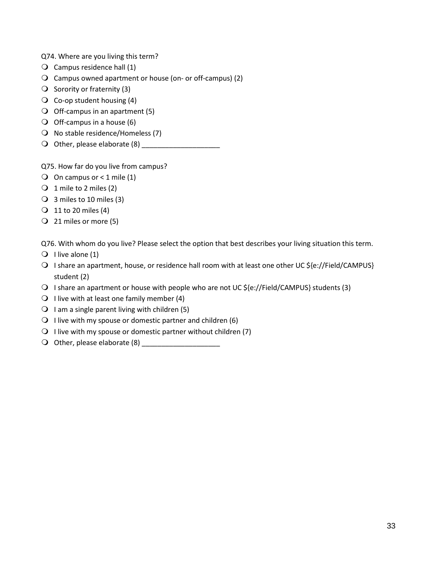Q74. Where are you living this term?

- $\bigcirc$  Campus residence hall (1)
- Campus owned apartment or house (on- or off-campus) (2)
- $\bigcirc$  Sorority or fraternity (3)
- $\overline{Q}$  Co-op student housing (4)
- $\bigcirc$  Off-campus in an apartment (5)
- $\bigcirc$  Off-campus in a house (6)
- $\bigcirc$  No stable residence/Homeless (7)
- Other, please elaborate (8) \_\_\_\_\_\_\_\_\_\_\_\_\_\_\_\_\_\_\_\_

Q75. How far do you live from campus?

- $\bigcirc$  On campus or < 1 mile (1)
- $\bigcirc$  1 mile to 2 miles (2)
- $\bigcirc$  3 miles to 10 miles (3)
- $\bigcirc$  11 to 20 miles (4)
- 21 miles or more (5)

Q76. With whom do you live? Please select the option that best describes your living situation this term.

- $\bigcirc$  I live alone (1)
- $\bigcirc$  I share an apartment, house, or residence hall room with at least one other UC \${e://Field/CAMPUS} student (2)
- $\bigcirc$  I share an apartment or house with people who are not UC \${e://Field/CAMPUS} students (3)
- $\bigcirc$  I live with at least one family member (4)
- $\bigcirc$  I am a single parent living with children (5)
- $\bigcirc$  I live with my spouse or domestic partner and children (6)
- $\bigcirc$  I live with my spouse or domestic partner without children (7)
- Other, please elaborate (8) \_\_\_\_\_\_\_\_\_\_\_\_\_\_\_\_\_\_\_\_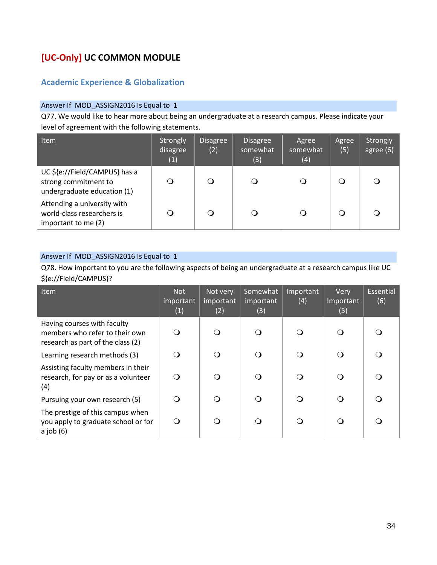# **[UC-Only] UC COMMON MODULE**

# **Academic Experience & Globalization**

### Answer If MOD\_ASSIGN2016 Is Equal to 1

Q77. We would like to hear more about being an undergraduate at a research campus. Please indicate your level of agreement with the following statements.

| <b>Item</b>                                                                          | Strongly<br>disagree<br>(1) | <b>Disagree</b><br>(2) | <b>Disagree</b><br>somewhat<br>(3) | Agree<br>somewhat<br>(4) | Agree<br>(5) | Strongly<br>agree (6) |
|--------------------------------------------------------------------------------------|-----------------------------|------------------------|------------------------------------|--------------------------|--------------|-----------------------|
| UC \${e://Field/CAMPUS} has a<br>strong commitment to<br>undergraduate education (1) |                             |                        |                                    |                          |              |                       |
| Attending a university with<br>world-class researchers is<br>important to me (2)     |                             |                        |                                    |                          |              |                       |

#### Answer If MOD\_ASSIGN2016 Is Equal to 1

Q78. How important to you are the following aspects of being an undergraduate at a research campus like UC \${e://Field/CAMPUS}?

| <b>Item</b>                                                                                        | <b>Not</b><br>important<br>(1) | Not very<br>important<br>(2) | Somewhat<br>important<br>(3) | Important<br>(4) | Very<br>Important<br>(5) | Essential<br>(6) |
|----------------------------------------------------------------------------------------------------|--------------------------------|------------------------------|------------------------------|------------------|--------------------------|------------------|
| Having courses with faculty<br>members who refer to their own<br>research as part of the class (2) | $\Omega$                       | ∩                            | ∩                            | ∩                | ∩                        |                  |
| Learning research methods (3)                                                                      | $\Omega$                       | ∩                            |                              | ( )              | ∩                        |                  |
| Assisting faculty members in their<br>research, for pay or as a volunteer<br>(4)                   | $\Omega$                       | ∩                            | ∩                            | O                | ∩                        |                  |
| Pursuing your own research (5)                                                                     | $\Omega$                       | ∩                            | ∩                            | ∩                | ∩                        |                  |
| The prestige of this campus when<br>you apply to graduate school or for<br>$a$ job $(6)$           | ∩                              | ∩                            |                              |                  | ∩                        |                  |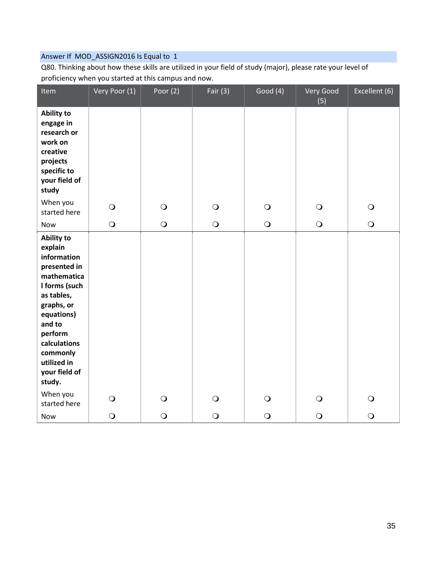Q80. Thinking about how these skills are utilized in your field of study (major), please rate your level of proficiency when you started at this campus and now.

| Item                                                                                                                                                                                                                             | Very Poor (1) | Poor $(2)$ | Fair $(3)$ | Good (4)   | Very Good<br>(5) | Excellent (6) |
|----------------------------------------------------------------------------------------------------------------------------------------------------------------------------------------------------------------------------------|---------------|------------|------------|------------|------------------|---------------|
| <b>Ability to</b><br>engage in<br>research or<br>work on<br>creative<br>projects<br>specific to<br>your field of<br>study                                                                                                        |               |            |            |            |                  |               |
| When you<br>started here                                                                                                                                                                                                         | $\bigcirc$    | $\bigcirc$ | $\bigcirc$ | $\bigcirc$ | $\bigcirc$       | $\bigcirc$    |
| Now                                                                                                                                                                                                                              | $\bigcirc$    | $\bigcirc$ | $\bigcirc$ | $\bigcirc$ | $\bigcirc$       | $\bigcirc$    |
| <b>Ability to</b><br>explain<br>information<br>presented in<br>mathematica<br>I forms (such<br>as tables,<br>graphs, or<br>equations)<br>and to<br>perform<br>calculations<br>commonly<br>utilized in<br>your field of<br>study. |               |            |            |            |                  |               |
| When you<br>started here                                                                                                                                                                                                         | $\bigcirc$    | $\bigcirc$ | $\bigcirc$ | $\bigcirc$ | $\bigcirc$       | $\bigcirc$    |
| Now                                                                                                                                                                                                                              | $\bigcirc$    | $\bigcirc$ | $\bigcirc$ | $\bigcirc$ | $\bigcirc$       | $\bigcirc$    |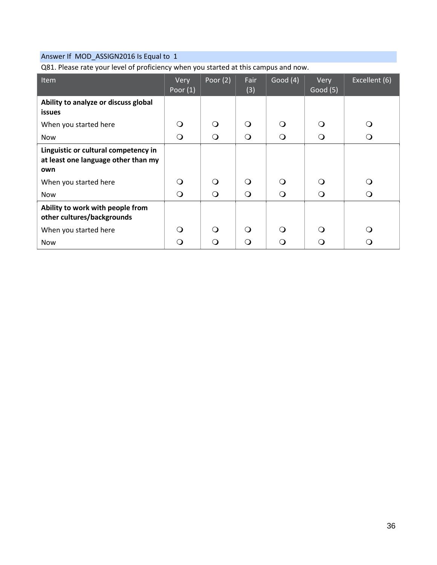Q81. Please rate your level of proficiency when you started at this campus and now.

| Item                                                                               | Very<br>Poor $(1)$ | Poor $(2)$ | Fair<br>(3) | Good $(4)$ | Very<br>Good(5) | Excellent (6) |
|------------------------------------------------------------------------------------|--------------------|------------|-------------|------------|-----------------|---------------|
| Ability to analyze or discuss global<br><b>issues</b>                              |                    |            |             |            |                 |               |
| When you started here                                                              | $\Omega$           | $\Omega$   | ∩           | $\Omega$   | Q               | $\Omega$      |
| <b>Now</b>                                                                         | $\Omega$           | $\Omega$   | $\Omega$    | $\circ$    | $\Omega$        | $\circ$       |
| Linguistic or cultural competency in<br>at least one language other than my<br>own |                    |            |             |            |                 |               |
| When you started here                                                              | $\Omega$           | $\Omega$   | ∩           | $\Omega$   | $\Omega$        | $\Omega$      |
| <b>Now</b>                                                                         | $\Omega$           | $\bigcirc$ | $\Omega$    | $\Omega$   | $\bigcirc$      | $\Omega$      |
| Ability to work with people from<br>other cultures/backgrounds                     |                    |            |             |            |                 |               |
| When you started here                                                              | ∩                  | $\Omega$   | ∩           | $\Omega$   | ∩               | $\Omega$      |
| <b>Now</b>                                                                         |                    | ∩          |             | ∩          | ∩               | ∩             |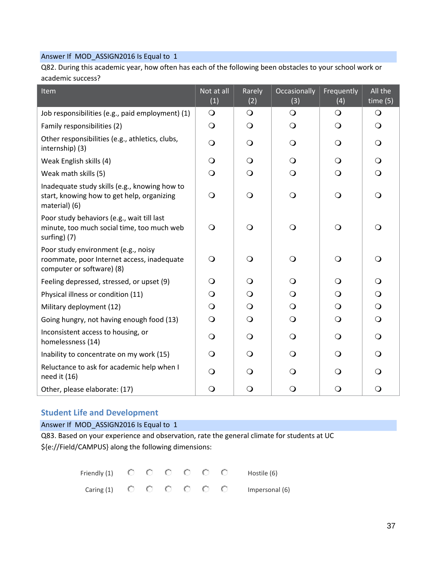Q82. During this academic year, how often has each of the following been obstacles to your school work or academic success?

| Item                                                                                                           | Not at all<br>$\overline{(1)}$ | Rarely<br>(2) | Occasionally<br>(3) | Frequently<br>(4) | All the<br>time(5) |
|----------------------------------------------------------------------------------------------------------------|--------------------------------|---------------|---------------------|-------------------|--------------------|
| Job responsibilities (e.g., paid employment) (1)                                                               | $\bigcirc$                     | $\mathsf{O}$  | $\bigcirc$          | $\mathsf{O}$      | $\bigcirc$         |
| Family responsibilities (2)                                                                                    | $\bigcirc$                     | $\Omega$      | $\bigcirc$          | O                 | $\Omega$           |
| Other responsibilities (e.g., athletics, clubs,<br>internship) (3)                                             | $\bigcirc$                     | $\Omega$      | $\bigcirc$          | $\Omega$          | $\Omega$           |
| Weak English skills (4)                                                                                        | $\bigcirc$                     | $\Omega$      | $\bigcirc$          | $\Omega$          | $\bigcirc$         |
| Weak math skills (5)                                                                                           | $\bigcirc$                     | Q             | $\bigcirc$          | $\Omega$          | $\bigcirc$         |
| Inadequate study skills (e.g., knowing how to<br>start, knowing how to get help, organizing<br>material) (6)   | $\bigcirc$                     | $\bigcirc$    | $\bigcirc$          | $\bigcirc$        | $\overline{O}$     |
| Poor study behaviors (e.g., wait till last<br>minute, too much social time, too much web<br>surfing) (7)       | $\Omega$                       | ∩             | $\bigcirc$          | $\bigcirc$        | $\Omega$           |
| Poor study environment (e.g., noisy<br>roommate, poor Internet access, inadequate<br>computer or software) (8) | $\Omega$                       | ∩             | $\bigcirc$          | $\mathsf{O}$      | $\Omega$           |
| Feeling depressed, stressed, or upset (9)                                                                      | $\Omega$                       | $\Omega$      | $\bigcirc$          | $\Omega$          | $\Omega$           |
| Physical illness or condition (11)                                                                             | $\bigcirc$                     | $\Omega$      | $\bigcirc$          | $\Omega$          | $\bigcirc$         |
| Military deployment (12)                                                                                       | $\bigcirc$                     | $\bigcirc$    | $\bigcirc$          | $\bigcirc$        | $\bigcirc$         |
| Going hungry, not having enough food (13)                                                                      | $\bigcirc$                     | $\Omega$      | $\bigcirc$          | $\Omega$          | $\bigcirc$         |
| Inconsistent access to housing, or<br>homelessness (14)                                                        | $\Omega$                       | $\circ$       | $\circ$             | $\circ$           | $\Omega$           |
| Inability to concentrate on my work (15)                                                                       | $\bigcirc$                     | $\bigcirc$    | $\bigcirc$          | $\Omega$          | $\bigcirc$         |
| Reluctance to ask for academic help when I<br>need it (16)                                                     | $\Omega$                       | $\Omega$      | $\Omega$            | $\Omega$          | $\Omega$           |
| Other, please elaborate: (17)                                                                                  | $\bigcirc$                     | $\Omega$      | $\bigcirc$          | $\bigcirc$        | $\circ$            |

## **Student Life and Development**

Answer If MOD\_ASSIGN2016 Is Equal to 1

Q83. Based on your experience and observation, rate the general climate for students at UC \${e://Field/CAMPUS} along the following dimensions:

|  |  |  | Friendly (1) $\bigcirc$ $\bigcirc$ $\bigcirc$ $\bigcirc$ $\bigcirc$ $\bigcirc$ Hostile (6)             |
|--|--|--|--------------------------------------------------------------------------------------------------------|
|  |  |  | Caring (1) $\bigcirc$ $\bigcirc$ $\bigcirc$ $\bigcirc$ $\bigcirc$ $\bigcirc$ $\bigcirc$ Impersonal (6) |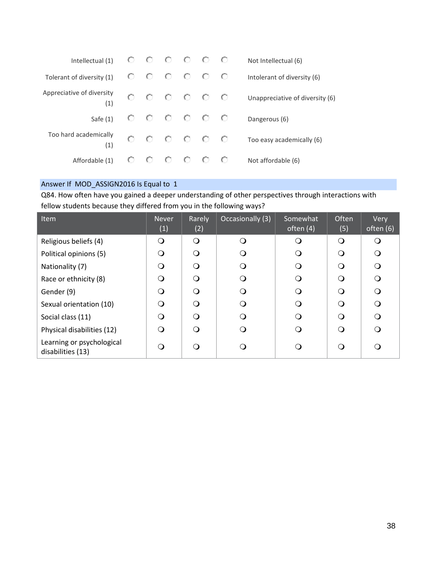| Intellectual (1)                 |              |     | - 0       | $\circ$ | - 0 | Not Intellectual (6)            |
|----------------------------------|--------------|-----|-----------|---------|-----|---------------------------------|
| Tolerant of diversity (1)        | C.T          | C). | - 0       | $\circ$ | - 0 | Intolerant of diversity (6)     |
| Appreciative of diversity<br>(1) |              | 0.  | - 0       | - 0 - 0 |     | Unappreciative of diversity (6) |
| Safe $(1)$                       |              |     | $0$ 0 0 0 |         |     | Dangerous (6)                   |
| Too hard academically<br>(1)     | $\mathbf{C}$ |     | - 0       | - 0 - 0 |     | Too easy academically (6)       |
| Affordable (1)                   |              |     |           |         | O   | Not affordable (6)              |

Q84. How often have you gained a deeper understanding of other perspectives through interactions with fellow students because they differed from you in the following ways?

| Item                                           | <b>Never</b><br>(1) | Rarely<br>(2) | Occasionally (3) | Somewhat<br>often $(4)$ | Often<br>(5) | Very<br>often (6) |
|------------------------------------------------|---------------------|---------------|------------------|-------------------------|--------------|-------------------|
| Religious beliefs (4)                          | ∩                   | Q             | ∩                | ∩                       | ∩            | ∩                 |
| Political opinions (5)                         | ∩                   | Q             | ∩                | ∩                       | ∩            | O                 |
| Nationality (7)                                | ∩                   | Q             | Q                |                         | ∩            | Q                 |
| Race or ethnicity (8)                          | ∩                   | ∩             | ∩                | ∩                       | ∩            | $\Omega$          |
| Gender (9)                                     | ∩                   | ∩             | ∩                | ∩                       | ∩            | Q                 |
| Sexual orientation (10)                        | ∩                   | ∩             | ∩                | ∩                       | ∩            | ∩                 |
| Social class (11)                              | ∩                   | Q             | ∩                |                         | ∩            | ∩                 |
| Physical disabilities (12)                     | ∩                   | ∩             | Q                | ( )                     | ∩            | O                 |
| Learning or psychological<br>disabilities (13) |                     | ∩             | ∩                |                         | ∩            | ∩                 |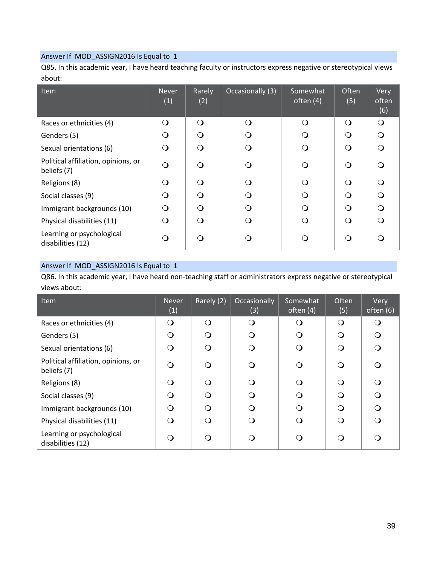Q85. In this academic year, I have heard teaching faculty or instructors express negative or stereotypical views about:

| Item                                               | <b>Never</b><br>(1) | Rarely<br>(2) | Occasionally (3) | Somewhat<br>often $(4)$ | Often<br>(5) | Very<br>often<br>(6) |
|----------------------------------------------------|---------------------|---------------|------------------|-------------------------|--------------|----------------------|
| Races or ethnicities (4)                           | ∩                   | $\Omega$      | ∩                | $\Omega$                | $\Omega$     | $\Omega$             |
| Genders (5)                                        | ∩                   | $\Omega$      | $\Omega$         | ∩                       | $\Omega$     | ∩                    |
| Sexual orientations (6)                            | ∩                   | ∩             | ∩                | ∩                       | ∩            | $\Omega$             |
| Political affiliation, opinions, or<br>beliefs (7) | ∩                   | $\Omega$      | ∩                | ∩                       | $\Omega$     | ∩                    |
| Religions (8)                                      | Q                   | $\Omega$      | ∩                | ∩                       | ∩            | $\Omega$             |
| Social classes (9)                                 | ∩                   | $\Omega$      | ∩                | ∩                       | ∩            | ∩                    |
| Immigrant backgrounds (10)                         | ∩                   | $\Omega$      | ∩                |                         | ∩            | $\Omega$             |
| Physical disabilities (11)                         | Q                   | ∩             | ∩                |                         | ∩            |                      |
| Learning or psychological<br>disabilities (12)     | ∩                   | ∩             | 0                |                         | ∩            |                      |

#### Answer If MOD\_ASSIGN2016 Is Equal to 1

Q86. In this academic year, I have heard non-teaching staff or administrators express negative or stereotypical views about:

| Item                                               | <b>Never</b><br>(1) | Rarely (2) | Occasionally<br>(3) | Somewhat<br>often (4) | Often<br>(5) | <b>Very</b><br>often (6) |
|----------------------------------------------------|---------------------|------------|---------------------|-----------------------|--------------|--------------------------|
| Races or ethnicities (4)                           | ∩                   | ∩          | O                   | O                     | ∩            | ∩                        |
| Genders (5)                                        | ∩                   | ∩          | O                   | O                     | ∩            | $\Omega$                 |
| Sexual orientations (6)                            | ∩                   | ∩          | O                   | O                     | ∩            |                          |
| Political affiliation, opinions, or<br>beliefs (7) |                     | ∩          | ∩                   | O                     | ∩            |                          |
| Religions (8)                                      | ∩                   | ∩          | ⌒                   | O                     | ∩            | ∩                        |
| Social classes (9)                                 | $\Omega$            | ∩          | O                   | Q                     | ∩            | $\Omega$                 |
| Immigrant backgrounds (10)                         | ∩                   | ∩          | O                   | Q                     | ∩            | ∩                        |
| Physical disabilities (11)                         |                     | ∩          | (၂                  | O                     | ∩            |                          |
| Learning or psychological<br>disabilities (12)     |                     |            | . .                 | O                     | ∩            |                          |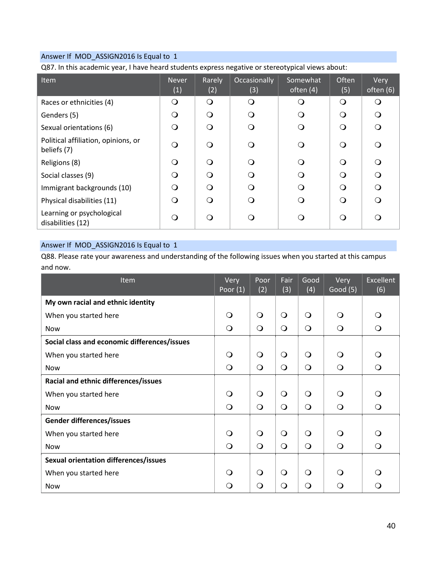Q87. In this academic year, I have heard students express negative or stereotypical views about:

| Item                                               | <b>Never</b><br>(1) | Rarely<br>(2) | Occasionally<br>(3) | Somewhat<br>often $(4)$ | <b>Often</b><br>(5) | Very<br>often (6) |
|----------------------------------------------------|---------------------|---------------|---------------------|-------------------------|---------------------|-------------------|
| Races or ethnicities (4)                           | O                   | $\Omega$      | O                   | ∩                       | $\Omega$            | ∩                 |
| Genders (5)                                        | ∩                   | ∩             | O                   | Q                       | $\Omega$            | $\Omega$          |
| Sexual orientations (6)                            | ∩                   | ∩             | O                   | $\Omega$                | $\Omega$            | $\Omega$          |
| Political affiliation, opinions, or<br>beliefs (7) | ∩                   | ∩             | O                   | ∩                       | ∩                   | $\Omega$          |
| Religions (8)                                      | ∩                   | ∩             | Q                   | ∩                       | ∩                   | $\Omega$          |
| Social classes (9)                                 | ∩                   | ∩             | Q                   | ∩                       | ∩                   | $\Omega$          |
| Immigrant backgrounds (10)                         | ∩                   | ∩             | O                   | $\Omega$                | ∩                   | $\Omega$          |
| Physical disabilities (11)                         | ∩                   | ∩             | Q                   | ∩                       | $\Omega$            |                   |
| Learning or psychological<br>disabilities (12)     | ∩                   | ∩             | O                   | ∩                       | $\Omega$            |                   |

# Answer If MOD\_ASSIGN2016 Is Equal to 1

Q88. Please rate your awareness and understanding of the following issues when you started at this campus and now.

| Item                                         | Very<br>Poor $(1)$ | Poor<br>(2)  | Fair<br>(3) | Good<br>(4) | Very<br>Good (5) | <b>Excellent</b><br>(6) |
|----------------------------------------------|--------------------|--------------|-------------|-------------|------------------|-------------------------|
| My own racial and ethnic identity            |                    |              |             |             |                  |                         |
| When you started here                        | $\Omega$           | $\mathsf{O}$ | $\bigcirc$  | $\Omega$    | $\Omega$         | O                       |
| <b>Now</b>                                   | $\bigcirc$         | $\bigcirc$   | $\circ$     | $\bigcirc$  | $\bigcirc$       | $\Omega$                |
| Social class and economic differences/issues |                    |              |             |             |                  |                         |
| When you started here                        | Q                  | $\mathsf{O}$ | $\bigcirc$  | $\Omega$    | $\circ$          | ∩                       |
| <b>Now</b>                                   | $\Omega$           | $\bigcirc$   | $\bigcirc$  | $\bigcirc$  | $\circ$          | $\Omega$                |
| Racial and ethnic differences/issues         |                    |              |             |             |                  |                         |
| When you started here                        | ∩                  | $\bigcirc$   | $\bigcirc$  | $\Omega$    | $\Omega$         | ∩                       |
| <b>Now</b>                                   | $\bigcirc$         | $\circ$      | $\bigcirc$  | $\bigcirc$  | $\bigcirc$       | $\bigcirc$              |
| Gender differences/issues                    |                    |              |             |             |                  |                         |
| When you started here                        | $\Omega$           | $\mathsf{O}$ | $\bigcirc$  | $\Omega$    | $\circ$          | ∩                       |
| Now                                          | $\bigcirc$         | $\bigcirc$   | $\bigcirc$  | $\bigcirc$  | $\bigcirc$       | Q                       |
| Sexual orientation differences/issues        |                    |              |             |             |                  |                         |
| When you started here                        | ∩                  | $\circ$      | $\Omega$    | $\Omega$    | $\Omega$         | ∩                       |
| Now                                          | O                  | $\Omega$     | $\Omega$    | $\Omega$    | $\Omega$         | Q                       |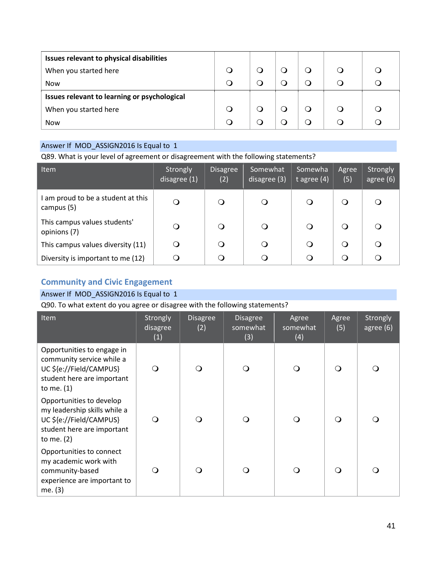| Issues relevant to physical disabilities     |  |        |  |  |
|----------------------------------------------|--|--------|--|--|
| When you started here                        |  |        |  |  |
| <b>Now</b>                                   |  | $\cup$ |  |  |
| Issues relevant to learning or psychological |  |        |  |  |
| When you started here                        |  |        |  |  |
| <b>Now</b>                                   |  | $\cup$ |  |  |

Q89. What is your level of agreement or disagreement with the following statements?

| <b>Item</b>                                      | Strongly<br>disagree (1) | <b>Disagree</b><br>(2) | Somewhat<br>disagree (3) | Somewha<br>t agree $(4)$ | Agree<br>(5) | Strongly<br>agree $(6)$ |
|--------------------------------------------------|--------------------------|------------------------|--------------------------|--------------------------|--------------|-------------------------|
| I am proud to be a student at this<br>campus (5) | $\Omega$                 |                        | $\Omega$                 | O                        | $\Omega$     |                         |
| This campus values students'<br>opinions (7)     | Q                        |                        | O                        | $\cup$                   | $\Omega$     | ∩                       |
| This campus values diversity (11)                | $\Omega$                 |                        | ◯                        | $\cup$                   | $\Omega$     |                         |
| Diversity is important to me (12)                |                          |                        |                          |                          | ∩            |                         |

## **Community and Civic Engagement**

## Answer If MOD\_ASSIGN2016 Is Equal to 1

Q90. To what extent do you agree or disagree with the following statements?

| Item                                                                                                                              | Strongly<br>disagree<br>(1) | <b>Disagree</b><br>(2) | <b>Disagree</b><br>somewhat<br>(3) | Agree<br>somewhat<br>(4) | Agree<br>(5) | Strongly<br>agree (6) |
|-----------------------------------------------------------------------------------------------------------------------------------|-----------------------------|------------------------|------------------------------------|--------------------------|--------------|-----------------------|
| Opportunities to engage in<br>community service while a<br>UC \${e://Field/CAMPUS}<br>student here are important<br>to me. $(1)$  | Q                           |                        |                                    |                          | ∩            |                       |
| Opportunities to develop<br>my leadership skills while a<br>UC \${e://Field/CAMPUS}<br>student here are important<br>to me. $(2)$ | ( )                         |                        | $\bigcirc$                         |                          | ∩            |                       |
| Opportunities to connect<br>my academic work with<br>community-based<br>experience are important to<br>me. (3)                    | 0                           |                        |                                    |                          |              |                       |